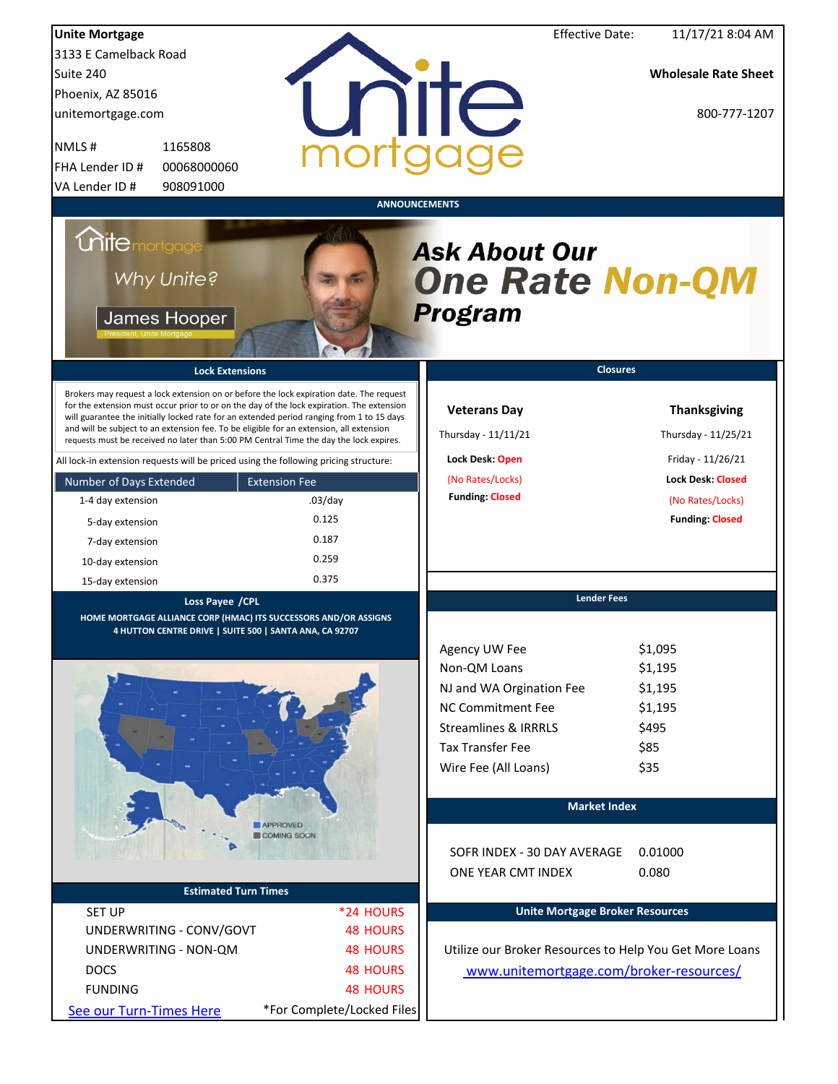| <b>Unite Mortgage</b>       |                                                                                                                                                                                                                                                                                                                                                                                                                                                                        |                            |                                                           | <b>Effective Date:</b>                 | 11/17/21 8:04 AM                                        |
|-----------------------------|------------------------------------------------------------------------------------------------------------------------------------------------------------------------------------------------------------------------------------------------------------------------------------------------------------------------------------------------------------------------------------------------------------------------------------------------------------------------|----------------------------|-----------------------------------------------------------|----------------------------------------|---------------------------------------------------------|
| 3133 E Camelback Road       |                                                                                                                                                                                                                                                                                                                                                                                                                                                                        |                            |                                                           |                                        |                                                         |
| Suite 240                   |                                                                                                                                                                                                                                                                                                                                                                                                                                                                        |                            |                                                           |                                        | <b>Wholesale Rate Sheet</b>                             |
| Phoenix, AZ 85016           |                                                                                                                                                                                                                                                                                                                                                                                                                                                                        |                            |                                                           |                                        |                                                         |
| unitemortgage.com           |                                                                                                                                                                                                                                                                                                                                                                                                                                                                        |                            | unite                                                     |                                        | 800-777-1207                                            |
| NMLS#                       | 1165808                                                                                                                                                                                                                                                                                                                                                                                                                                                                | mort                       |                                                           |                                        |                                                         |
| FHA Lender ID #             | 00068000060                                                                                                                                                                                                                                                                                                                                                                                                                                                            |                            |                                                           |                                        |                                                         |
| VA Lender ID #              | 908091000                                                                                                                                                                                                                                                                                                                                                                                                                                                              |                            |                                                           |                                        |                                                         |
|                             |                                                                                                                                                                                                                                                                                                                                                                                                                                                                        |                            | <b>ANNOUNCEMENTS</b>                                      |                                        |                                                         |
| <i><b>Chitemortgage</b></i> | Why Unite?<br>James Hooper                                                                                                                                                                                                                                                                                                                                                                                                                                             |                            | <b>Ask About Our</b><br><b>One Rate Non-QM</b><br>Program |                                        |                                                         |
|                             | <b>Lock Extensions</b>                                                                                                                                                                                                                                                                                                                                                                                                                                                 |                            |                                                           | <b>Closures</b>                        |                                                         |
|                             | Brokers may request a lock extension on or before the lock expiration date. The request<br>for the extension must occur prior to or on the day of the lock expiration. The extension<br>will guarantee the initially locked rate for an extended period ranging from 1 to 15 days<br>and will be subject to an extension fee. To be eligible for an extension, all extension<br>requests must be received no later than 5:00 PM Central Time the day the lock expires. |                            | <b>Veterans Day</b><br>Thursday - 11/11/21                |                                        | <b>Thanksgiving</b><br>Thursday - 11/25/21              |
|                             | All lock-in extension requests will be priced using the following pricing structure:                                                                                                                                                                                                                                                                                                                                                                                   |                            | Lock Desk: Open                                           |                                        | Friday - 11/26/21                                       |
| Number of Days Extended     | <b>Extension Fee</b>                                                                                                                                                                                                                                                                                                                                                                                                                                                   |                            | (No Rates/Locks)                                          |                                        | <b>Lock Desk: Closed</b>                                |
| 1-4 day extension           |                                                                                                                                                                                                                                                                                                                                                                                                                                                                        | $.03$ /day                 | <b>Funding: Closed</b>                                    |                                        | (No Rates/Locks)                                        |
| 5-day extension             |                                                                                                                                                                                                                                                                                                                                                                                                                                                                        | 0.125                      |                                                           |                                        | <b>Funding: Closed</b>                                  |
| 7-day extension             |                                                                                                                                                                                                                                                                                                                                                                                                                                                                        | 0.187                      |                                                           |                                        |                                                         |
| 10-day extension            |                                                                                                                                                                                                                                                                                                                                                                                                                                                                        | 0.259                      |                                                           |                                        |                                                         |
| 15-day extension            |                                                                                                                                                                                                                                                                                                                                                                                                                                                                        | 0.375                      |                                                           |                                        |                                                         |
|                             | Loss Payee /CPL                                                                                                                                                                                                                                                                                                                                                                                                                                                        |                            |                                                           | <b>Lender Fees</b>                     |                                                         |
|                             | HOME MORTGAGE ALLIANCE CORP (HMAC) ITS SUCCESSORS AND/OR ASSIGNS<br>4 HUTTON CENTRE DRIVE   SUITE 500   SANTA ANA, CA 92707                                                                                                                                                                                                                                                                                                                                            |                            |                                                           |                                        |                                                         |
|                             |                                                                                                                                                                                                                                                                                                                                                                                                                                                                        |                            | Agency UW Fee                                             |                                        | \$1,095                                                 |
|                             |                                                                                                                                                                                                                                                                                                                                                                                                                                                                        |                            | Non-QM Loans                                              |                                        | \$1,195                                                 |
|                             |                                                                                                                                                                                                                                                                                                                                                                                                                                                                        |                            | NJ and WA Orgination Fee                                  |                                        | \$1,195                                                 |
|                             |                                                                                                                                                                                                                                                                                                                                                                                                                                                                        |                            | <b>NC Commitment Fee</b>                                  |                                        | \$1,195                                                 |
|                             |                                                                                                                                                                                                                                                                                                                                                                                                                                                                        |                            | <b>Streamlines &amp; IRRRLS</b>                           |                                        | \$495                                                   |
|                             |                                                                                                                                                                                                                                                                                                                                                                                                                                                                        |                            | <b>Tax Transfer Fee</b>                                   |                                        | \$85                                                    |
|                             |                                                                                                                                                                                                                                                                                                                                                                                                                                                                        |                            | Wire Fee (All Loans)                                      |                                        | \$35                                                    |
|                             |                                                                                                                                                                                                                                                                                                                                                                                                                                                                        |                            |                                                           |                                        |                                                         |
|                             |                                                                                                                                                                                                                                                                                                                                                                                                                                                                        |                            |                                                           | <b>Market Index</b>                    |                                                         |
|                             | <b>APPROVED</b>                                                                                                                                                                                                                                                                                                                                                                                                                                                        |                            |                                                           |                                        |                                                         |
|                             | <b>COMING SOON</b>                                                                                                                                                                                                                                                                                                                                                                                                                                                     |                            | SOFR INDEX - 30 DAY AVERAGE<br>ONE YEAR CMT INDEX         |                                        | 0.01000<br>0.080                                        |
|                             | <b>Estimated Turn Times</b>                                                                                                                                                                                                                                                                                                                                                                                                                                            |                            |                                                           |                                        |                                                         |
| <b>SET UP</b>               |                                                                                                                                                                                                                                                                                                                                                                                                                                                                        | *24 HOURS                  |                                                           | <b>Unite Mortgage Broker Resources</b> |                                                         |
|                             | UNDERWRITING - CONV/GOVT                                                                                                                                                                                                                                                                                                                                                                                                                                               | <b>48 HOURS</b>            |                                                           |                                        |                                                         |
|                             | UNDERWRITING - NON-QM                                                                                                                                                                                                                                                                                                                                                                                                                                                  | <b>48 HOURS</b>            |                                                           |                                        | Utilize our Broker Resources to Help You Get More Loans |
| <b>DOCS</b>                 |                                                                                                                                                                                                                                                                                                                                                                                                                                                                        | <b>48 HOURS</b>            |                                                           |                                        | www.unitemortgage.com/broker-resources/                 |
| <b>FUNDING</b>              |                                                                                                                                                                                                                                                                                                                                                                                                                                                                        | <b>48 HOURS</b>            |                                                           |                                        |                                                         |
| See our Turn-Times Here     |                                                                                                                                                                                                                                                                                                                                                                                                                                                                        | *For Complete/Locked Files |                                                           |                                        |                                                         |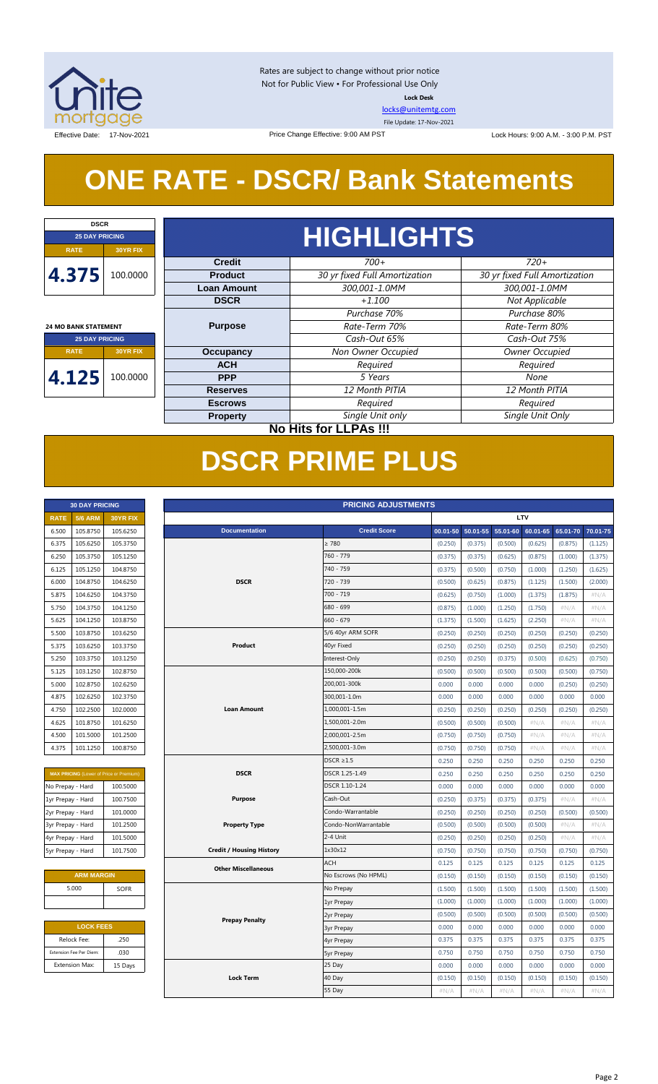

Rates are subject to change without prior notice Not for Public View • For Professional Use Only **Lock Desk**

[locks@unitemtg.com](mailto:locks@unitemtg.com)

File Update: 17-Nov-2021

Effective Date: 17-Nov-2021 **Date: 17-Nov-2021** Price Change Effective: 9:00 AM PST Lock Hours: 9:00 A.M. - 3:00 P.M. PST

## **ONE RATE - DSCR/ Bank Statements**

Price Change Effective: 9:00 AM PST

| <b>DSCR</b>                  |                 |                    |                               |                               |  |  |  |  |  |  |
|------------------------------|-----------------|--------------------|-------------------------------|-------------------------------|--|--|--|--|--|--|
| <b>25 DAY PRICING</b>        |                 | <b>HIGHLIGHTS</b>  |                               |                               |  |  |  |  |  |  |
| <b>RATE</b>                  | <b>30YR FIX</b> |                    |                               |                               |  |  |  |  |  |  |
|                              |                 | <b>Credit</b>      | $700+$                        | $720+$                        |  |  |  |  |  |  |
| 4.375                        | 100.0000        | <b>Product</b>     | 30 yr fixed Full Amortization | 30 yr fixed Full Amortization |  |  |  |  |  |  |
|                              |                 | <b>Loan Amount</b> | 300,001-1.0MM                 | 300,001-1.0MM                 |  |  |  |  |  |  |
|                              |                 | <b>DSCR</b>        | $+1.100$                      | Not Applicable                |  |  |  |  |  |  |
|                              |                 |                    | Purchase 70%                  | Purchase 80%                  |  |  |  |  |  |  |
| <b>24 MO BANK STATEMENT</b>  |                 | <b>Purpose</b>     | Rate-Term 70%                 | Rate-Term 80%                 |  |  |  |  |  |  |
| <b>25 DAY PRICING</b>        |                 |                    | Cash-Out 65%                  | Cash-Out 75%                  |  |  |  |  |  |  |
| <b>RATE</b>                  | <b>30YR FIX</b> | <b>Occupancy</b>   | Non Owner Occupied            | Owner Occupied                |  |  |  |  |  |  |
|                              |                 | <b>ACH</b>         | Required                      | Required                      |  |  |  |  |  |  |
| 4.125                        | 100.0000        | <b>PPP</b>         | 5 Years                       | None                          |  |  |  |  |  |  |
|                              |                 | <b>Reserves</b>    | 12 Month PITIA                | 12 Month PITIA                |  |  |  |  |  |  |
|                              |                 | <b>Escrows</b>     | Required                      | Required                      |  |  |  |  |  |  |
|                              |                 | <b>Property</b>    | Single Unit only              | Single Unit Only              |  |  |  |  |  |  |
| <b>No Hits for LLPAs !!!</b> |                 |                    |                               |                               |  |  |  |  |  |  |

## **DSCR PRIME PLUS**

|             | <b>30 DAY PRICING</b> |                 |
|-------------|-----------------------|-----------------|
| <b>RATE</b> | <b>5/6 ARM</b>        | <b>30YR FIX</b> |
| 6.500       | 105.8750              | 105.6250        |
| 6.375       | 105.6250              | 105.3750        |
| 6.250       | 105.3750              | 105.1250        |
| 6.125       | 105.1250              | 104.8750        |
| 6.000       | 104.8750              | 104.6250        |
| 5.875       | 104.6250              | 104.3750        |
| 5.750       | 104.3750              | 104.1250        |
| 5.625       | 104.1250              | 103.8750        |
| 5.500       | 103.8750              | 103.6250        |
| 5.375       | 103.6250              | 103.3750        |
| 5.250       | 103.3750              | 103.1250        |
| 5.125       | 103.1250              | 102.8750        |
| 5.000       | 102.8750              | 102.6250        |
| 4.875       | 102.6250              | 102.3750        |
| 4.750       | 102.2500              | 102.0000        |
| 4.625       | 101.8750              | 101.6250        |
| 4.500       | 101.5000              | 101.2500        |
| 4.375       | 101.1250              | 100.8750        |

| <b>MAX PRICING (Lower of Price or Premium)</b> |          |  |  |  |  |  |  |  |
|------------------------------------------------|----------|--|--|--|--|--|--|--|
| No Prepay - Hard                               | 100.5000 |  |  |  |  |  |  |  |
| 1yr Prepay - Hard                              | 100.7500 |  |  |  |  |  |  |  |
| 2yr Prepay - Hard                              | 101.0000 |  |  |  |  |  |  |  |
| 3yr Prepay - Hard                              | 101.2500 |  |  |  |  |  |  |  |
| 4yr Prepay - Hard                              | 101.5000 |  |  |  |  |  |  |  |
| 5yr Prepay - Hard                              | 101.7500 |  |  |  |  |  |  |  |

| <b>ARM MARGIN</b> |             |
|-------------------|-------------|
| 5.000             | <b>SOFR</b> |
|                   |             |

| <b>LOCK FEES</b> |
|------------------|
| .250             |
| .030             |
| 15 Days          |
|                  |

| LTV<br><b>5/6 ARM</b><br><b>RATE</b><br><b>30YR FIX</b><br><b>Credit Score</b><br>105.8750<br>105.6250<br><b>Documentation</b><br>00.01-50<br>50.01-55<br>55.01-60<br>60.01-65<br>65.01-70<br>6.500<br>$\geq 780$<br>6.375<br>105.6250<br>105.3750<br>(0.250)<br>(0.375)<br>(0.500)<br>(0.625)<br>(0.875)<br>760 - 779<br>6.250<br>105.3750<br>105.1250<br>(0.375)<br>(0.375)<br>(0.625)<br>(0.875)<br>(1.000)<br>104.8750<br>740 - 759<br>6.125<br>105.1250<br>(0.375)<br>(0.500)<br>(0.750)<br>(1.000)<br>(1.250)<br><b>DSCR</b><br>6.000<br>104.8750<br>104.6250<br>720 - 739<br>(0.500)<br>(0.625)<br>(0.875)<br>(1.125)<br>(1.500)<br>700 - 719<br>5.875<br>104.6250<br>104.3750<br>(0.750)<br>(1.000)<br>(1.375)<br>(1.875)<br>(0.625)<br>104.3750<br>104.1250<br>680 - 699<br>$\#N/A$<br>5.750<br>(0.875)<br>(1.000)<br>(1.250)<br>(1.750)<br>660 - 679<br>103.8750<br>5.625<br>104.1250<br>(1.375)<br>(1.500)<br>(1.625)<br>(2.250)<br>#N/A<br>103.8750<br>103.6250<br>5/6 40yr ARM SOFR<br>(0.250)<br>(0.250)<br>(0.250)<br>(0.250)<br>5.500<br>(0.250)<br>Product<br>103.6250<br>103.3750<br>40yr Fixed<br>(0.250)<br>(0.250)<br>(0.250)<br>5.375<br>(0.250)<br>(0.250)<br>103.1250<br>Interest-Only<br>5.250<br>103.3750<br>(0.250)<br>(0.250)<br>(0.375)<br>(0.500)<br>(0.625)<br>103.1250<br>102.8750<br>150,000-200k<br>5.125<br>(0.500)<br>(0.500)<br>(0.500)<br>(0.500)<br>(0.500)<br>200,001-300k<br>5.000<br>102.8750<br>102.6250<br>0.000<br>0.000<br>0.000<br>0.000<br>(0.250)<br>300,001-1.0m<br>102.3750<br>4.875<br>102.6250<br>0.000<br>0.000<br>0.000<br>0.000<br>0.000<br>102.2500<br>102.0000<br><b>Loan Amount</b><br>1,000,001-1.5m<br>(0.250)<br>(0.250)<br>(0.250)<br>(0.250)<br>4.750<br>(0.250)<br>1,500,001-2.0m<br>101.8750<br>101.6250<br>(0.500)<br>(0.500)<br>(0.500)<br>$\#N/A$<br>#N/A<br>4.625<br>2,000,001-2.5m<br>4.500<br>101.5000<br>101.2500<br>(0.750)<br>(0.750)<br>(0.750)<br>$\#N/A$<br>#N/A<br>2,500,001-3.0m<br>101.1250<br>100.8750<br>4.375<br>(0.750)<br>(0.750)<br>(0.750)<br>$\#N/A$<br>#N/A<br>$DSCR \geq 1.5$<br>0.250<br>0.250<br>0.250<br>0.250<br>0.250<br><b>DSCR</b><br>DSCR 1.25-1.49<br><b>MAX PRICING (Lower of Price or Premium)</b><br>0.250<br>0.250<br>0.250<br>0.250<br>0.250<br>DSCR 1.10-1.24<br>0.000<br>0.000<br>0.000<br>0.000<br>0.000<br>No Prepay - Hard<br>100.5000<br><b>Purpose</b><br>Cash-Out<br>1yr Prepay - Hard<br>100.7500<br>(0.250)<br>(0.375)<br>(0.375)<br>(0.375)<br>#N/A<br>Condo-Warrantable<br>2yr Prepay - Hard<br>101.0000<br>(0.250)<br>(0.250)<br>(0.250)<br>(0.250)<br>(0.500)<br><b>Property Type</b><br>Condo-NonWarrantable<br>$\#N/A$<br>3yr Prepay - Hard<br>101.2500<br>(0.500)<br>(0.500)<br>(0.500)<br>(0.500)<br>2-4 Unit<br>4yr Prepay - Hard<br>101.5000<br>(0.250)<br>(0.250)<br>(0.250)<br>(0.250)<br>#N/A<br>1x30x12<br>101.7500<br><b>Credit / Housing History</b><br>5yr Prepay - Hard<br>(0.750)<br>(0.750)<br>(0.750)<br>(0.750)<br>(0.750)<br><b>ACH</b><br>0.125<br>0.125<br>0.125<br>0.125<br>0.125<br><b>Other Miscellaneous</b><br><b>ARM MARGIN</b><br>No Escrows (No HPML)<br>(0.150)<br>(0.150)<br>(0.150)<br>(0.150)<br>(0.150)<br>5.000<br><b>SOFR</b><br>No Prepay<br>(1.500)<br>(1.500)<br>(1.500)<br>(1.500)<br>(1.500)<br>(1.000)<br>(1.000)<br>(1.000)<br>(1.000)<br>(1.000)<br>1yr Prepay<br>(0.500)<br>(0.500)<br>(0.500)<br>(0.500)<br>(0.500)<br>2yr Prepay<br><b>Prepay Penalty</b><br><b>LOCK FEES</b><br>0.000<br>0.000<br>0.000<br>0.000<br>0.000<br><b>3yr Prepay</b><br>Relock Fee:<br>.250<br>0.375<br>0.375<br>0.375<br>0.375<br>0.375<br>4yr Prepay<br>.030<br>0.750<br>0.750<br>0.750<br>0.750<br>0.750<br>Extension Fee Per Diem:<br><b>5yr Prepay</b><br>25 Day<br><b>Extension Max:</b><br>15 Days<br>0.000<br>0.000<br>0.000<br>0.000<br>0.000<br><b>Lock Term</b><br>40 Day<br>(0.150)<br>(0.150)<br>(0.150)<br>(0.150)<br>(0.150)<br>55 Day<br>#N/A<br>$\#N/A$<br>#N/A<br>#N/A<br>#N/A | <b>PRICING ADJUSTMENTS</b><br><b>30 DAY PRICING</b> |  |  |  |  |  |  |  |  |          |
|---------------------------------------------------------------------------------------------------------------------------------------------------------------------------------------------------------------------------------------------------------------------------------------------------------------------------------------------------------------------------------------------------------------------------------------------------------------------------------------------------------------------------------------------------------------------------------------------------------------------------------------------------------------------------------------------------------------------------------------------------------------------------------------------------------------------------------------------------------------------------------------------------------------------------------------------------------------------------------------------------------------------------------------------------------------------------------------------------------------------------------------------------------------------------------------------------------------------------------------------------------------------------------------------------------------------------------------------------------------------------------------------------------------------------------------------------------------------------------------------------------------------------------------------------------------------------------------------------------------------------------------------------------------------------------------------------------------------------------------------------------------------------------------------------------------------------------------------------------------------------------------------------------------------------------------------------------------------------------------------------------------------------------------------------------------------------------------------------------------------------------------------------------------------------------------------------------------------------------------------------------------------------------------------------------------------------------------------------------------------------------------------------------------------------------------------------------------------------------------------------------------------------------------------------------------------------------------------------------------------------------------------------------------------------------------------------------------------------------------------------------------------------------------------------------------------------------------------------------------------------------------------------------------------------------------------------------------------------------------------------------------------------------------------------------------------------------------------------------------------------------------------------------------------------------------------------------------------------------------------------------------------------------------------------------------------------------------------------------------------------------------------------------------------------------------------------------------------------------------------------------------------------------------------------------------------------------------------------------------------------------------------------------------------------------------------------------------------------------------------------------------------------------------------------------------------------------------------------------------------------------------------------------------------------------------------------|-----------------------------------------------------|--|--|--|--|--|--|--|--|----------|
|                                                                                                                                                                                                                                                                                                                                                                                                                                                                                                                                                                                                                                                                                                                                                                                                                                                                                                                                                                                                                                                                                                                                                                                                                                                                                                                                                                                                                                                                                                                                                                                                                                                                                                                                                                                                                                                                                                                                                                                                                                                                                                                                                                                                                                                                                                                                                                                                                                                                                                                                                                                                                                                                                                                                                                                                                                                                                                                                                                                                                                                                                                                                                                                                                                                                                                                                                                                                                                                                                                                                                                                                                                                                                                                                                                                                                                                                                                                                                   |                                                     |  |  |  |  |  |  |  |  |          |
|                                                                                                                                                                                                                                                                                                                                                                                                                                                                                                                                                                                                                                                                                                                                                                                                                                                                                                                                                                                                                                                                                                                                                                                                                                                                                                                                                                                                                                                                                                                                                                                                                                                                                                                                                                                                                                                                                                                                                                                                                                                                                                                                                                                                                                                                                                                                                                                                                                                                                                                                                                                                                                                                                                                                                                                                                                                                                                                                                                                                                                                                                                                                                                                                                                                                                                                                                                                                                                                                                                                                                                                                                                                                                                                                                                                                                                                                                                                                                   |                                                     |  |  |  |  |  |  |  |  | 70.01-75 |
|                                                                                                                                                                                                                                                                                                                                                                                                                                                                                                                                                                                                                                                                                                                                                                                                                                                                                                                                                                                                                                                                                                                                                                                                                                                                                                                                                                                                                                                                                                                                                                                                                                                                                                                                                                                                                                                                                                                                                                                                                                                                                                                                                                                                                                                                                                                                                                                                                                                                                                                                                                                                                                                                                                                                                                                                                                                                                                                                                                                                                                                                                                                                                                                                                                                                                                                                                                                                                                                                                                                                                                                                                                                                                                                                                                                                                                                                                                                                                   |                                                     |  |  |  |  |  |  |  |  | (1.125)  |
|                                                                                                                                                                                                                                                                                                                                                                                                                                                                                                                                                                                                                                                                                                                                                                                                                                                                                                                                                                                                                                                                                                                                                                                                                                                                                                                                                                                                                                                                                                                                                                                                                                                                                                                                                                                                                                                                                                                                                                                                                                                                                                                                                                                                                                                                                                                                                                                                                                                                                                                                                                                                                                                                                                                                                                                                                                                                                                                                                                                                                                                                                                                                                                                                                                                                                                                                                                                                                                                                                                                                                                                                                                                                                                                                                                                                                                                                                                                                                   |                                                     |  |  |  |  |  |  |  |  | (1.375)  |
|                                                                                                                                                                                                                                                                                                                                                                                                                                                                                                                                                                                                                                                                                                                                                                                                                                                                                                                                                                                                                                                                                                                                                                                                                                                                                                                                                                                                                                                                                                                                                                                                                                                                                                                                                                                                                                                                                                                                                                                                                                                                                                                                                                                                                                                                                                                                                                                                                                                                                                                                                                                                                                                                                                                                                                                                                                                                                                                                                                                                                                                                                                                                                                                                                                                                                                                                                                                                                                                                                                                                                                                                                                                                                                                                                                                                                                                                                                                                                   |                                                     |  |  |  |  |  |  |  |  | (1.625)  |
|                                                                                                                                                                                                                                                                                                                                                                                                                                                                                                                                                                                                                                                                                                                                                                                                                                                                                                                                                                                                                                                                                                                                                                                                                                                                                                                                                                                                                                                                                                                                                                                                                                                                                                                                                                                                                                                                                                                                                                                                                                                                                                                                                                                                                                                                                                                                                                                                                                                                                                                                                                                                                                                                                                                                                                                                                                                                                                                                                                                                                                                                                                                                                                                                                                                                                                                                                                                                                                                                                                                                                                                                                                                                                                                                                                                                                                                                                                                                                   |                                                     |  |  |  |  |  |  |  |  | (2.000)  |
|                                                                                                                                                                                                                                                                                                                                                                                                                                                                                                                                                                                                                                                                                                                                                                                                                                                                                                                                                                                                                                                                                                                                                                                                                                                                                                                                                                                                                                                                                                                                                                                                                                                                                                                                                                                                                                                                                                                                                                                                                                                                                                                                                                                                                                                                                                                                                                                                                                                                                                                                                                                                                                                                                                                                                                                                                                                                                                                                                                                                                                                                                                                                                                                                                                                                                                                                                                                                                                                                                                                                                                                                                                                                                                                                                                                                                                                                                                                                                   |                                                     |  |  |  |  |  |  |  |  | #N/A     |
|                                                                                                                                                                                                                                                                                                                                                                                                                                                                                                                                                                                                                                                                                                                                                                                                                                                                                                                                                                                                                                                                                                                                                                                                                                                                                                                                                                                                                                                                                                                                                                                                                                                                                                                                                                                                                                                                                                                                                                                                                                                                                                                                                                                                                                                                                                                                                                                                                                                                                                                                                                                                                                                                                                                                                                                                                                                                                                                                                                                                                                                                                                                                                                                                                                                                                                                                                                                                                                                                                                                                                                                                                                                                                                                                                                                                                                                                                                                                                   |                                                     |  |  |  |  |  |  |  |  | #N/A     |
|                                                                                                                                                                                                                                                                                                                                                                                                                                                                                                                                                                                                                                                                                                                                                                                                                                                                                                                                                                                                                                                                                                                                                                                                                                                                                                                                                                                                                                                                                                                                                                                                                                                                                                                                                                                                                                                                                                                                                                                                                                                                                                                                                                                                                                                                                                                                                                                                                                                                                                                                                                                                                                                                                                                                                                                                                                                                                                                                                                                                                                                                                                                                                                                                                                                                                                                                                                                                                                                                                                                                                                                                                                                                                                                                                                                                                                                                                                                                                   |                                                     |  |  |  |  |  |  |  |  | #N/A     |
|                                                                                                                                                                                                                                                                                                                                                                                                                                                                                                                                                                                                                                                                                                                                                                                                                                                                                                                                                                                                                                                                                                                                                                                                                                                                                                                                                                                                                                                                                                                                                                                                                                                                                                                                                                                                                                                                                                                                                                                                                                                                                                                                                                                                                                                                                                                                                                                                                                                                                                                                                                                                                                                                                                                                                                                                                                                                                                                                                                                                                                                                                                                                                                                                                                                                                                                                                                                                                                                                                                                                                                                                                                                                                                                                                                                                                                                                                                                                                   |                                                     |  |  |  |  |  |  |  |  | (0.250)  |
|                                                                                                                                                                                                                                                                                                                                                                                                                                                                                                                                                                                                                                                                                                                                                                                                                                                                                                                                                                                                                                                                                                                                                                                                                                                                                                                                                                                                                                                                                                                                                                                                                                                                                                                                                                                                                                                                                                                                                                                                                                                                                                                                                                                                                                                                                                                                                                                                                                                                                                                                                                                                                                                                                                                                                                                                                                                                                                                                                                                                                                                                                                                                                                                                                                                                                                                                                                                                                                                                                                                                                                                                                                                                                                                                                                                                                                                                                                                                                   |                                                     |  |  |  |  |  |  |  |  | (0.250)  |
|                                                                                                                                                                                                                                                                                                                                                                                                                                                                                                                                                                                                                                                                                                                                                                                                                                                                                                                                                                                                                                                                                                                                                                                                                                                                                                                                                                                                                                                                                                                                                                                                                                                                                                                                                                                                                                                                                                                                                                                                                                                                                                                                                                                                                                                                                                                                                                                                                                                                                                                                                                                                                                                                                                                                                                                                                                                                                                                                                                                                                                                                                                                                                                                                                                                                                                                                                                                                                                                                                                                                                                                                                                                                                                                                                                                                                                                                                                                                                   |                                                     |  |  |  |  |  |  |  |  | (0.750)  |
|                                                                                                                                                                                                                                                                                                                                                                                                                                                                                                                                                                                                                                                                                                                                                                                                                                                                                                                                                                                                                                                                                                                                                                                                                                                                                                                                                                                                                                                                                                                                                                                                                                                                                                                                                                                                                                                                                                                                                                                                                                                                                                                                                                                                                                                                                                                                                                                                                                                                                                                                                                                                                                                                                                                                                                                                                                                                                                                                                                                                                                                                                                                                                                                                                                                                                                                                                                                                                                                                                                                                                                                                                                                                                                                                                                                                                                                                                                                                                   |                                                     |  |  |  |  |  |  |  |  | (0.750)  |
|                                                                                                                                                                                                                                                                                                                                                                                                                                                                                                                                                                                                                                                                                                                                                                                                                                                                                                                                                                                                                                                                                                                                                                                                                                                                                                                                                                                                                                                                                                                                                                                                                                                                                                                                                                                                                                                                                                                                                                                                                                                                                                                                                                                                                                                                                                                                                                                                                                                                                                                                                                                                                                                                                                                                                                                                                                                                                                                                                                                                                                                                                                                                                                                                                                                                                                                                                                                                                                                                                                                                                                                                                                                                                                                                                                                                                                                                                                                                                   |                                                     |  |  |  |  |  |  |  |  | (0.250)  |
|                                                                                                                                                                                                                                                                                                                                                                                                                                                                                                                                                                                                                                                                                                                                                                                                                                                                                                                                                                                                                                                                                                                                                                                                                                                                                                                                                                                                                                                                                                                                                                                                                                                                                                                                                                                                                                                                                                                                                                                                                                                                                                                                                                                                                                                                                                                                                                                                                                                                                                                                                                                                                                                                                                                                                                                                                                                                                                                                                                                                                                                                                                                                                                                                                                                                                                                                                                                                                                                                                                                                                                                                                                                                                                                                                                                                                                                                                                                                                   |                                                     |  |  |  |  |  |  |  |  | 0.000    |
|                                                                                                                                                                                                                                                                                                                                                                                                                                                                                                                                                                                                                                                                                                                                                                                                                                                                                                                                                                                                                                                                                                                                                                                                                                                                                                                                                                                                                                                                                                                                                                                                                                                                                                                                                                                                                                                                                                                                                                                                                                                                                                                                                                                                                                                                                                                                                                                                                                                                                                                                                                                                                                                                                                                                                                                                                                                                                                                                                                                                                                                                                                                                                                                                                                                                                                                                                                                                                                                                                                                                                                                                                                                                                                                                                                                                                                                                                                                                                   |                                                     |  |  |  |  |  |  |  |  | (0.250)  |
|                                                                                                                                                                                                                                                                                                                                                                                                                                                                                                                                                                                                                                                                                                                                                                                                                                                                                                                                                                                                                                                                                                                                                                                                                                                                                                                                                                                                                                                                                                                                                                                                                                                                                                                                                                                                                                                                                                                                                                                                                                                                                                                                                                                                                                                                                                                                                                                                                                                                                                                                                                                                                                                                                                                                                                                                                                                                                                                                                                                                                                                                                                                                                                                                                                                                                                                                                                                                                                                                                                                                                                                                                                                                                                                                                                                                                                                                                                                                                   |                                                     |  |  |  |  |  |  |  |  | #N/A     |
|                                                                                                                                                                                                                                                                                                                                                                                                                                                                                                                                                                                                                                                                                                                                                                                                                                                                                                                                                                                                                                                                                                                                                                                                                                                                                                                                                                                                                                                                                                                                                                                                                                                                                                                                                                                                                                                                                                                                                                                                                                                                                                                                                                                                                                                                                                                                                                                                                                                                                                                                                                                                                                                                                                                                                                                                                                                                                                                                                                                                                                                                                                                                                                                                                                                                                                                                                                                                                                                                                                                                                                                                                                                                                                                                                                                                                                                                                                                                                   |                                                     |  |  |  |  |  |  |  |  | $\#N/A$  |
|                                                                                                                                                                                                                                                                                                                                                                                                                                                                                                                                                                                                                                                                                                                                                                                                                                                                                                                                                                                                                                                                                                                                                                                                                                                                                                                                                                                                                                                                                                                                                                                                                                                                                                                                                                                                                                                                                                                                                                                                                                                                                                                                                                                                                                                                                                                                                                                                                                                                                                                                                                                                                                                                                                                                                                                                                                                                                                                                                                                                                                                                                                                                                                                                                                                                                                                                                                                                                                                                                                                                                                                                                                                                                                                                                                                                                                                                                                                                                   |                                                     |  |  |  |  |  |  |  |  | #N/A     |
|                                                                                                                                                                                                                                                                                                                                                                                                                                                                                                                                                                                                                                                                                                                                                                                                                                                                                                                                                                                                                                                                                                                                                                                                                                                                                                                                                                                                                                                                                                                                                                                                                                                                                                                                                                                                                                                                                                                                                                                                                                                                                                                                                                                                                                                                                                                                                                                                                                                                                                                                                                                                                                                                                                                                                                                                                                                                                                                                                                                                                                                                                                                                                                                                                                                                                                                                                                                                                                                                                                                                                                                                                                                                                                                                                                                                                                                                                                                                                   |                                                     |  |  |  |  |  |  |  |  | 0.250    |
|                                                                                                                                                                                                                                                                                                                                                                                                                                                                                                                                                                                                                                                                                                                                                                                                                                                                                                                                                                                                                                                                                                                                                                                                                                                                                                                                                                                                                                                                                                                                                                                                                                                                                                                                                                                                                                                                                                                                                                                                                                                                                                                                                                                                                                                                                                                                                                                                                                                                                                                                                                                                                                                                                                                                                                                                                                                                                                                                                                                                                                                                                                                                                                                                                                                                                                                                                                                                                                                                                                                                                                                                                                                                                                                                                                                                                                                                                                                                                   |                                                     |  |  |  |  |  |  |  |  | 0.250    |
|                                                                                                                                                                                                                                                                                                                                                                                                                                                                                                                                                                                                                                                                                                                                                                                                                                                                                                                                                                                                                                                                                                                                                                                                                                                                                                                                                                                                                                                                                                                                                                                                                                                                                                                                                                                                                                                                                                                                                                                                                                                                                                                                                                                                                                                                                                                                                                                                                                                                                                                                                                                                                                                                                                                                                                                                                                                                                                                                                                                                                                                                                                                                                                                                                                                                                                                                                                                                                                                                                                                                                                                                                                                                                                                                                                                                                                                                                                                                                   |                                                     |  |  |  |  |  |  |  |  | 0.000    |
|                                                                                                                                                                                                                                                                                                                                                                                                                                                                                                                                                                                                                                                                                                                                                                                                                                                                                                                                                                                                                                                                                                                                                                                                                                                                                                                                                                                                                                                                                                                                                                                                                                                                                                                                                                                                                                                                                                                                                                                                                                                                                                                                                                                                                                                                                                                                                                                                                                                                                                                                                                                                                                                                                                                                                                                                                                                                                                                                                                                                                                                                                                                                                                                                                                                                                                                                                                                                                                                                                                                                                                                                                                                                                                                                                                                                                                                                                                                                                   |                                                     |  |  |  |  |  |  |  |  | #N/A     |
|                                                                                                                                                                                                                                                                                                                                                                                                                                                                                                                                                                                                                                                                                                                                                                                                                                                                                                                                                                                                                                                                                                                                                                                                                                                                                                                                                                                                                                                                                                                                                                                                                                                                                                                                                                                                                                                                                                                                                                                                                                                                                                                                                                                                                                                                                                                                                                                                                                                                                                                                                                                                                                                                                                                                                                                                                                                                                                                                                                                                                                                                                                                                                                                                                                                                                                                                                                                                                                                                                                                                                                                                                                                                                                                                                                                                                                                                                                                                                   |                                                     |  |  |  |  |  |  |  |  | (0.500)  |
|                                                                                                                                                                                                                                                                                                                                                                                                                                                                                                                                                                                                                                                                                                                                                                                                                                                                                                                                                                                                                                                                                                                                                                                                                                                                                                                                                                                                                                                                                                                                                                                                                                                                                                                                                                                                                                                                                                                                                                                                                                                                                                                                                                                                                                                                                                                                                                                                                                                                                                                                                                                                                                                                                                                                                                                                                                                                                                                                                                                                                                                                                                                                                                                                                                                                                                                                                                                                                                                                                                                                                                                                                                                                                                                                                                                                                                                                                                                                                   |                                                     |  |  |  |  |  |  |  |  | #N/A     |
|                                                                                                                                                                                                                                                                                                                                                                                                                                                                                                                                                                                                                                                                                                                                                                                                                                                                                                                                                                                                                                                                                                                                                                                                                                                                                                                                                                                                                                                                                                                                                                                                                                                                                                                                                                                                                                                                                                                                                                                                                                                                                                                                                                                                                                                                                                                                                                                                                                                                                                                                                                                                                                                                                                                                                                                                                                                                                                                                                                                                                                                                                                                                                                                                                                                                                                                                                                                                                                                                                                                                                                                                                                                                                                                                                                                                                                                                                                                                                   |                                                     |  |  |  |  |  |  |  |  | #N/A     |
|                                                                                                                                                                                                                                                                                                                                                                                                                                                                                                                                                                                                                                                                                                                                                                                                                                                                                                                                                                                                                                                                                                                                                                                                                                                                                                                                                                                                                                                                                                                                                                                                                                                                                                                                                                                                                                                                                                                                                                                                                                                                                                                                                                                                                                                                                                                                                                                                                                                                                                                                                                                                                                                                                                                                                                                                                                                                                                                                                                                                                                                                                                                                                                                                                                                                                                                                                                                                                                                                                                                                                                                                                                                                                                                                                                                                                                                                                                                                                   |                                                     |  |  |  |  |  |  |  |  | (0.750)  |
|                                                                                                                                                                                                                                                                                                                                                                                                                                                                                                                                                                                                                                                                                                                                                                                                                                                                                                                                                                                                                                                                                                                                                                                                                                                                                                                                                                                                                                                                                                                                                                                                                                                                                                                                                                                                                                                                                                                                                                                                                                                                                                                                                                                                                                                                                                                                                                                                                                                                                                                                                                                                                                                                                                                                                                                                                                                                                                                                                                                                                                                                                                                                                                                                                                                                                                                                                                                                                                                                                                                                                                                                                                                                                                                                                                                                                                                                                                                                                   |                                                     |  |  |  |  |  |  |  |  | 0.125    |
|                                                                                                                                                                                                                                                                                                                                                                                                                                                                                                                                                                                                                                                                                                                                                                                                                                                                                                                                                                                                                                                                                                                                                                                                                                                                                                                                                                                                                                                                                                                                                                                                                                                                                                                                                                                                                                                                                                                                                                                                                                                                                                                                                                                                                                                                                                                                                                                                                                                                                                                                                                                                                                                                                                                                                                                                                                                                                                                                                                                                                                                                                                                                                                                                                                                                                                                                                                                                                                                                                                                                                                                                                                                                                                                                                                                                                                                                                                                                                   |                                                     |  |  |  |  |  |  |  |  | (0.150)  |
|                                                                                                                                                                                                                                                                                                                                                                                                                                                                                                                                                                                                                                                                                                                                                                                                                                                                                                                                                                                                                                                                                                                                                                                                                                                                                                                                                                                                                                                                                                                                                                                                                                                                                                                                                                                                                                                                                                                                                                                                                                                                                                                                                                                                                                                                                                                                                                                                                                                                                                                                                                                                                                                                                                                                                                                                                                                                                                                                                                                                                                                                                                                                                                                                                                                                                                                                                                                                                                                                                                                                                                                                                                                                                                                                                                                                                                                                                                                                                   |                                                     |  |  |  |  |  |  |  |  | (1.500)  |
|                                                                                                                                                                                                                                                                                                                                                                                                                                                                                                                                                                                                                                                                                                                                                                                                                                                                                                                                                                                                                                                                                                                                                                                                                                                                                                                                                                                                                                                                                                                                                                                                                                                                                                                                                                                                                                                                                                                                                                                                                                                                                                                                                                                                                                                                                                                                                                                                                                                                                                                                                                                                                                                                                                                                                                                                                                                                                                                                                                                                                                                                                                                                                                                                                                                                                                                                                                                                                                                                                                                                                                                                                                                                                                                                                                                                                                                                                                                                                   |                                                     |  |  |  |  |  |  |  |  | (1.000)  |
|                                                                                                                                                                                                                                                                                                                                                                                                                                                                                                                                                                                                                                                                                                                                                                                                                                                                                                                                                                                                                                                                                                                                                                                                                                                                                                                                                                                                                                                                                                                                                                                                                                                                                                                                                                                                                                                                                                                                                                                                                                                                                                                                                                                                                                                                                                                                                                                                                                                                                                                                                                                                                                                                                                                                                                                                                                                                                                                                                                                                                                                                                                                                                                                                                                                                                                                                                                                                                                                                                                                                                                                                                                                                                                                                                                                                                                                                                                                                                   |                                                     |  |  |  |  |  |  |  |  | (0.500)  |
|                                                                                                                                                                                                                                                                                                                                                                                                                                                                                                                                                                                                                                                                                                                                                                                                                                                                                                                                                                                                                                                                                                                                                                                                                                                                                                                                                                                                                                                                                                                                                                                                                                                                                                                                                                                                                                                                                                                                                                                                                                                                                                                                                                                                                                                                                                                                                                                                                                                                                                                                                                                                                                                                                                                                                                                                                                                                                                                                                                                                                                                                                                                                                                                                                                                                                                                                                                                                                                                                                                                                                                                                                                                                                                                                                                                                                                                                                                                                                   |                                                     |  |  |  |  |  |  |  |  | 0.000    |
|                                                                                                                                                                                                                                                                                                                                                                                                                                                                                                                                                                                                                                                                                                                                                                                                                                                                                                                                                                                                                                                                                                                                                                                                                                                                                                                                                                                                                                                                                                                                                                                                                                                                                                                                                                                                                                                                                                                                                                                                                                                                                                                                                                                                                                                                                                                                                                                                                                                                                                                                                                                                                                                                                                                                                                                                                                                                                                                                                                                                                                                                                                                                                                                                                                                                                                                                                                                                                                                                                                                                                                                                                                                                                                                                                                                                                                                                                                                                                   |                                                     |  |  |  |  |  |  |  |  | 0.375    |
|                                                                                                                                                                                                                                                                                                                                                                                                                                                                                                                                                                                                                                                                                                                                                                                                                                                                                                                                                                                                                                                                                                                                                                                                                                                                                                                                                                                                                                                                                                                                                                                                                                                                                                                                                                                                                                                                                                                                                                                                                                                                                                                                                                                                                                                                                                                                                                                                                                                                                                                                                                                                                                                                                                                                                                                                                                                                                                                                                                                                                                                                                                                                                                                                                                                                                                                                                                                                                                                                                                                                                                                                                                                                                                                                                                                                                                                                                                                                                   |                                                     |  |  |  |  |  |  |  |  | 0.750    |
|                                                                                                                                                                                                                                                                                                                                                                                                                                                                                                                                                                                                                                                                                                                                                                                                                                                                                                                                                                                                                                                                                                                                                                                                                                                                                                                                                                                                                                                                                                                                                                                                                                                                                                                                                                                                                                                                                                                                                                                                                                                                                                                                                                                                                                                                                                                                                                                                                                                                                                                                                                                                                                                                                                                                                                                                                                                                                                                                                                                                                                                                                                                                                                                                                                                                                                                                                                                                                                                                                                                                                                                                                                                                                                                                                                                                                                                                                                                                                   |                                                     |  |  |  |  |  |  |  |  | 0.000    |
|                                                                                                                                                                                                                                                                                                                                                                                                                                                                                                                                                                                                                                                                                                                                                                                                                                                                                                                                                                                                                                                                                                                                                                                                                                                                                                                                                                                                                                                                                                                                                                                                                                                                                                                                                                                                                                                                                                                                                                                                                                                                                                                                                                                                                                                                                                                                                                                                                                                                                                                                                                                                                                                                                                                                                                                                                                                                                                                                                                                                                                                                                                                                                                                                                                                                                                                                                                                                                                                                                                                                                                                                                                                                                                                                                                                                                                                                                                                                                   |                                                     |  |  |  |  |  |  |  |  | (0.150)  |
|                                                                                                                                                                                                                                                                                                                                                                                                                                                                                                                                                                                                                                                                                                                                                                                                                                                                                                                                                                                                                                                                                                                                                                                                                                                                                                                                                                                                                                                                                                                                                                                                                                                                                                                                                                                                                                                                                                                                                                                                                                                                                                                                                                                                                                                                                                                                                                                                                                                                                                                                                                                                                                                                                                                                                                                                                                                                                                                                                                                                                                                                                                                                                                                                                                                                                                                                                                                                                                                                                                                                                                                                                                                                                                                                                                                                                                                                                                                                                   |                                                     |  |  |  |  |  |  |  |  | #N/A     |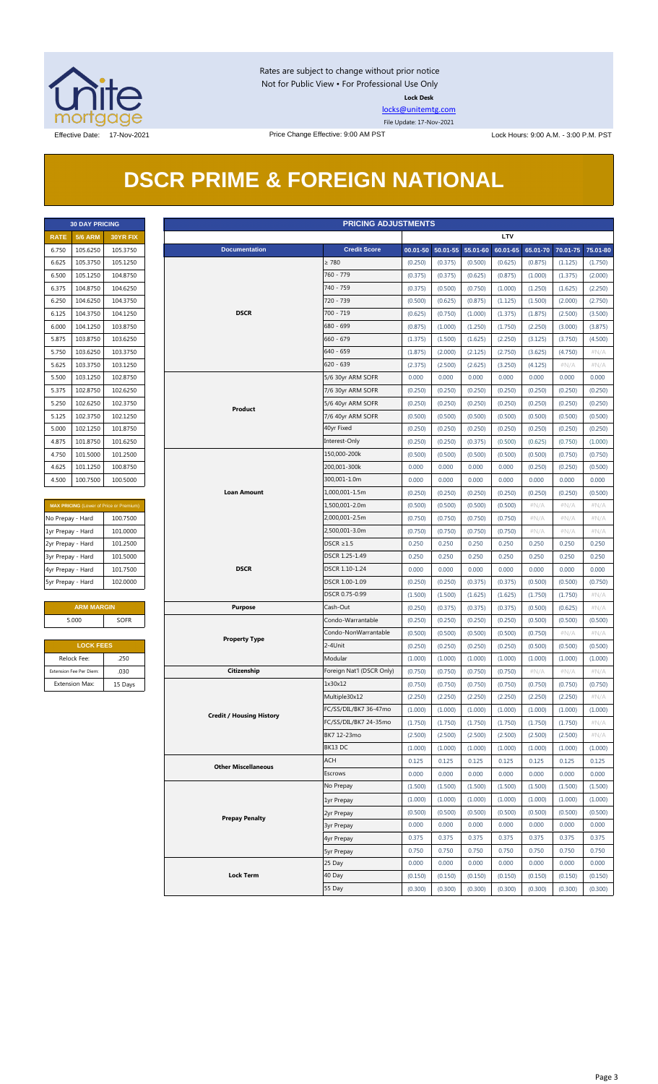

Rates are subject to change without prior notice Not for Public View • For Professional Use Only **Lock Desk**

[locks@unitemtg.com](mailto:locks@unitemtg.com)

File Update: 17-Nov-2021

## **DSCR PRIME & FOREIGN NATIONAL**

|             | <b>30 DAY PRICING</b> |                 |
|-------------|-----------------------|-----------------|
| <b>RATE</b> | <b>5/6 ARM</b>        | <b>30YR FIX</b> |
| 6.750       | 105.6250              | 105.3750        |
| 6.625       | 105.3750              | 105.1250        |
| 6.500       | 105.1250              | 104.8750        |
| 6.375       | 104.8750              | 104.6250        |
| 6.250       | 104.6250              | 104.3750        |
| 6.125       | 104.3750              | 104.1250        |
| 6.000       | 104.1250              | 103.8750        |
| 5.875       | 103.8750              | 103.6250        |
| 5.750       | 103.6250              | 103.3750        |
| 5.625       | 103.3750              | 103.1250        |
| 5.500       | 103.1250              | 102.8750        |
| 5.375       | 102.8750              | 102.6250        |
| 5.250       | 102.6250              | 102.3750        |
| 5.125       | 102.3750              | 102.1250        |
| 5.000       | 102.1250              | 101.8750        |
| 4.875       | 101.8750              | 101.6250        |
| 4.750       | 101.5000              | 101.2500        |
| 4.625       | 101.1250              | 100.8750        |
| 4.500       | 100.7500              | 100.5000        |

| <b>MAX PRICING</b> (Lower of Price or Premium) |          |  |  |  |  |  |  |
|------------------------------------------------|----------|--|--|--|--|--|--|
| No Prepay - Hard                               | 100.7500 |  |  |  |  |  |  |
| 1yr Prepay - Hard                              | 101.0000 |  |  |  |  |  |  |
| 2yr Prepay - Hard                              | 101.2500 |  |  |  |  |  |  |
| 3yr Prepay - Hard                              | 101.5000 |  |  |  |  |  |  |
| 4yr Prepay - Hard                              | 101.7500 |  |  |  |  |  |  |
| 5yr Prepay - Hard                              | 102.0000 |  |  |  |  |  |  |

| <b>ARM MARGIN</b> |             |  |  |  |  |  |  |
|-------------------|-------------|--|--|--|--|--|--|
| 5.000             | <b>SOFR</b> |  |  |  |  |  |  |
|                   |             |  |  |  |  |  |  |

| <b>LOCK FEES</b>        |         |  |  |  |  |  |
|-------------------------|---------|--|--|--|--|--|
| Relock Fee:             | .250    |  |  |  |  |  |
| Extension Fee Per Diem: | .030    |  |  |  |  |  |
| <b>Extension Max:</b>   | 15 Days |  |  |  |  |  |

| <b>PRICING ADJUSTMENTS</b><br><b>30 DAY PRICING</b> |                         |                                         |                                 |                           |         |                            |         |            |          |          |          |
|-----------------------------------------------------|-------------------------|-----------------------------------------|---------------------------------|---------------------------|---------|----------------------------|---------|------------|----------|----------|----------|
| <b>RATE</b>                                         | <b>5/6 ARM</b>          | 30YR FIX                                |                                 |                           |         |                            |         | <b>LTV</b> |          |          |          |
| 6.750                                               | 105.6250                | 105.3750                                | <b>Documentation</b>            | <b>Credit Score</b>       |         | 00.01-50 50.01-55 55.01-60 |         | 60.01-65   | 65.01-70 | 70.01-75 | 75.01-80 |
| 6.625                                               | 105.3750                | 105.1250                                |                                 | $\geq 780$                | (0.250) | (0.375)                    | (0.500) | (0.625)    | (0.875)  | (1.125)  | (1.750)  |
| 6.500                                               | 105.1250                | 104.8750                                |                                 | 760 - 779                 | (0.375) | (0.375)                    | (0.625) | (0.875)    | (1.000)  | (1.375)  | (2.000)  |
| 6.375                                               | 104.8750                | 104.6250                                |                                 | 740 - 759                 | (0.375) | (0.500)                    | (0.750) | (1.000)    | (1.250)  | (1.625)  | (2.250)  |
| 6.250                                               | 104.6250                | 104.3750                                |                                 | 720 - 739                 | (0.500) | (0.625)                    | (0.875) | (1.125)    | (1.500)  | (2.000)  | (2.750)  |
| 6.125                                               | 104.3750                | 104.1250                                | <b>DSCR</b>                     | $700 - 719$               | (0.625) | (0.750)                    | (1.000) | (1.375)    | (1.875)  | (2.500)  | (3.500)  |
| 6.000                                               | 104.1250                | 103.8750                                |                                 | 680 - 699                 | (0.875) | (1.000)                    | (1.250) | (1.750)    | (2.250)  | (3.000)  | (3.875)  |
| 5.875                                               | 103.8750                | 103.6250                                |                                 | $660 - 679$               | (1.375) | (1.500)                    | (1.625) | (2.250)    | (3.125)  | (3.750)  | (4.500)  |
| 5.750                                               | 103.6250                | 103.3750                                |                                 | $640 - 659$               | (1.875) | (2.000)                    | (2.125) | (2.750)    | (3.625)  | (4.750)  | $\#N/A$  |
| 5.625                                               | 103.3750                | 103.1250                                |                                 | $620 - 639$               | (2.375) | (2.500)                    | (2.625) | (3.250)    | (4.125)  | $\#N/A$  | $\#N/A$  |
| 5.500                                               | 103.1250                | 102.8750                                |                                 | 5/6 30yr ARM SOFR         | 0.000   | 0.000                      | 0.000   | 0.000      | 0.000    | 0.000    | 0.000    |
| 5.375                                               | 102.8750                | 102.6250                                |                                 | 7/6 30yr ARM SOFR         | (0.250) | (0.250)                    | (0.250) | (0.250)    | (0.250)  | (0.250)  | (0.250)  |
| 5.250                                               | 102.6250                | 102.3750                                |                                 | 5/6 40yr ARM SOFR         | (0.250) | (0.250)                    | (0.250) | (0.250)    | (0.250)  | (0.250)  | (0.250)  |
| 5.125                                               | 102.3750                | 102.1250                                | Product                         | 7/6 40yr ARM SOFR         | (0.500) | (0.500)                    | (0.500) | (0.500)    | (0.500)  | (0.500)  | (0.500)  |
| 5.000                                               | 102.1250                | 101.8750                                |                                 | 40yr Fixed                | (0.250) | (0.250)                    | (0.250) | (0.250)    | (0.250)  | (0.250)  | (0.250)  |
| 4.875                                               | 101.8750                | 101.6250                                |                                 | Interest-Only             | (0.250) | (0.250)                    | (0.375) | (0.500)    | (0.625)  | (0.750)  | (1.000)  |
| 4.750                                               | 101.5000                | 101.2500                                |                                 | 150,000-200k              | (0.500) | (0.500)                    | (0.500) | (0.500)    | (0.500)  | (0.750)  | (0.750)  |
| 4.625                                               | 101.1250                | 100.8750                                |                                 | 200,001-300k              | 0.000   | 0.000                      | 0.000   | 0.000      | (0.250)  | (0.250)  | (0.500)  |
| 4.500                                               | 100.7500                | 100.5000                                |                                 | 300,001-1.0m              | 0.000   | 0.000                      | 0.000   | 0.000      | 0.000    | 0.000    | 0.000    |
|                                                     |                         |                                         | <b>Loan Amount</b>              | 1,000,001-1.5m            | (0.250) | (0.250)                    | (0.250) | (0.250)    | (0.250)  | (0.250)  | (0.500)  |
|                                                     |                         | MAX PRICING (Lower of Price or Premium) |                                 | 1,500,001-2.0m            | (0.500) | (0.500)                    | (0.500) | (0.500)    | $\#N/A$  | $\#N/A$  | #N/A     |
| No Prepay - Hard                                    |                         | 100.7500                                |                                 | 2,000,001-2.5m            | (0.750) | (0.750)                    | (0.750) | (0.750)    | $\#N/A$  | $\#N/A$  | # $N/A$  |
| 1yr Prepay - Hard                                   |                         | 101.0000                                |                                 | 2,500,001-3.0m            | (0.750) | (0.750)                    | (0.750) | (0.750)    | $\#N/A$  | $\#N/A$  | $\#N/A$  |
| 2yr Prepay - Hard                                   |                         | 101.2500                                |                                 | $DSCR \geq 1.5$           | 0.250   | 0.250                      | 0.250   | 0.250      | 0.250    | 0.250    | 0.250    |
| 3yr Prepay - Hard                                   |                         | 101.5000                                |                                 | DSCR 1.25-1.49            | 0.250   | 0.250                      | 0.250   | 0.250      | 0.250    | 0.250    | 0.250    |
|                                                     |                         | 101.7500                                | <b>DSCR</b>                     | DSCR 1.10-1.24            | 0.000   | 0.000                      | 0.000   | 0.000      | 0.000    | 0.000    | 0.000    |
| 4yr Prepay - Hard                                   |                         | 102.0000                                |                                 | DSCR 1.00-1.09            | (0.250) | (0.250)                    | (0.375) | (0.375)    | (0.500)  | (0.500)  |          |
| 5yr Prepay - Hard                                   |                         |                                         |                                 | DSCR 0.75-0.99            |         |                            |         |            |          |          | (0.750)  |
|                                                     |                         |                                         |                                 |                           | (1.500) | (1.500)                    | (1.625) | (1.625)    | (1.750)  | (1.750)  | $\#N/A$  |
|                                                     | <b>ARM MARGIN</b>       |                                         | <b>Purpose</b>                  | Cash-Out                  | (0.250) | (0.375)                    | (0.375) | (0.375)    | (0.500)  | (0.625)  | $\#N/A$  |
|                                                     | 5.000                   | <b>SOFR</b>                             |                                 | Condo-Warrantable         | (0.250) | (0.250)                    | (0.250) | (0.250)    | (0.500)  | (0.500)  | (0.500)  |
|                                                     |                         |                                         | <b>Property Type</b>            | Condo-NonWarrantable      | (0.500) | (0.500)                    | (0.500) | (0.500)    | (0.750)  | $\#N/A$  | #N/A     |
|                                                     | <b>LOCK FEES</b>        |                                         |                                 | 2-4Unit                   | (0.250) | (0.250)                    | (0.250) | (0.250)    | (0.500)  | (0.500)  | (0.500)  |
|                                                     | Relock Fee:             | .250                                    |                                 | Modular                   | (1.000) | (1.000)                    | (1.000) | (1.000)    | (1.000)  | (1.000)  | (1.000)  |
|                                                     | Extension Fee Per Diem: | .030                                    | Citizenship                     | Foreign Nat'l (DSCR Only) | (0.750) | (0.750)                    | (0.750) | (0.750)    | $\#N/A$  | $\#N/A$  | $\#N/A$  |
|                                                     | <b>Extension Max:</b>   | 15 Days                                 |                                 | 1x30x12                   | (0.750) | (0.750)                    | (0.750) | (0.750)    | (0.750)  | (0.750)  | (0.750)  |
|                                                     |                         |                                         |                                 | Multiple30x12             | (2.250) | (2.250)                    | (2.250) | (2.250)    | (2.250)  | (2.250)  | $\#N/A$  |
|                                                     |                         |                                         | <b>Credit / Housing History</b> | FC/SS/DIL/BK7 36-47mo     | (1.000) | (1.000)                    | (1.000) | (1.000)    | (1.000)  | (1.000)  | (1.000)  |
|                                                     |                         |                                         |                                 | FC/SS/DIL/BK7 24-35mo     | (1.750) | (1.750)                    | (1.750) | (1.750)    | (1.750)  | (1.750)  | #N/A     |
|                                                     |                         |                                         |                                 | BK7 12-23mo               | (2.500) | (2.500)                    | (2.500) | (2.500)    | (2.500)  | (2.500)  | # $N/A$  |
|                                                     |                         |                                         |                                 | BK13 DC                   | (1.000) | (1.000)                    | (1.000) | (1.000)    | (1.000)  | (1.000)  | (1.000)  |
|                                                     |                         |                                         | <b>Other Miscellaneous</b>      | ACH                       | 0.125   | 0.125                      | 0.125   | 0.125      | 0.125    | 0.125    | 0.125    |
|                                                     |                         |                                         |                                 | Escrows                   | 0.000   | 0.000                      | 0.000   | 0.000      | 0.000    | 0.000    | 0.000    |
|                                                     |                         |                                         |                                 | No Prepay                 | (1.500) | (1.500)                    | (1.500) | (1.500)    | (1.500)  | (1.500)  | (1.500)  |
|                                                     |                         |                                         |                                 | 1yr Prepay                | (1.000) | (1.000)                    | (1.000) | (1.000)    | (1.000)  | (1.000)  | (1.000)  |
|                                                     |                         |                                         | <b>Prepay Penalty</b>           | 2yr Prepay                | (0.500) | (0.500)                    | (0.500) | (0.500)    | (0.500)  | (0.500)  | (0.500)  |
|                                                     |                         |                                         |                                 | <b>3yr Prepay</b>         | 0.000   | 0.000                      | 0.000   | 0.000      | 0.000    | 0.000    | 0.000    |
|                                                     |                         |                                         |                                 | 4yr Prepay                | 0.375   | 0.375                      | 0.375   | 0.375      | 0.375    | 0.375    | 0.375    |
|                                                     |                         |                                         |                                 | <b>5yr Prepay</b>         | 0.750   | 0.750                      | 0.750   | 0.750      | 0.750    | 0.750    | 0.750    |
|                                                     |                         |                                         |                                 | 25 Day                    | 0.000   | 0.000                      | 0.000   | 0.000      | 0.000    | 0.000    | 0.000    |
|                                                     |                         |                                         | <b>Lock Term</b>                | 40 Day                    | (0.150) | (0.150)                    | (0.150) | (0.150)    | (0.150)  | (0.150)  | (0.150)  |
|                                                     |                         |                                         |                                 | 55 Day                    | (0.300) | (0.300)                    | (0.300) | (0.300)    | (0.300)  | (0.300)  | (0.300)  |
|                                                     |                         |                                         |                                 |                           |         |                            |         |            |          |          |          |

#### Page 3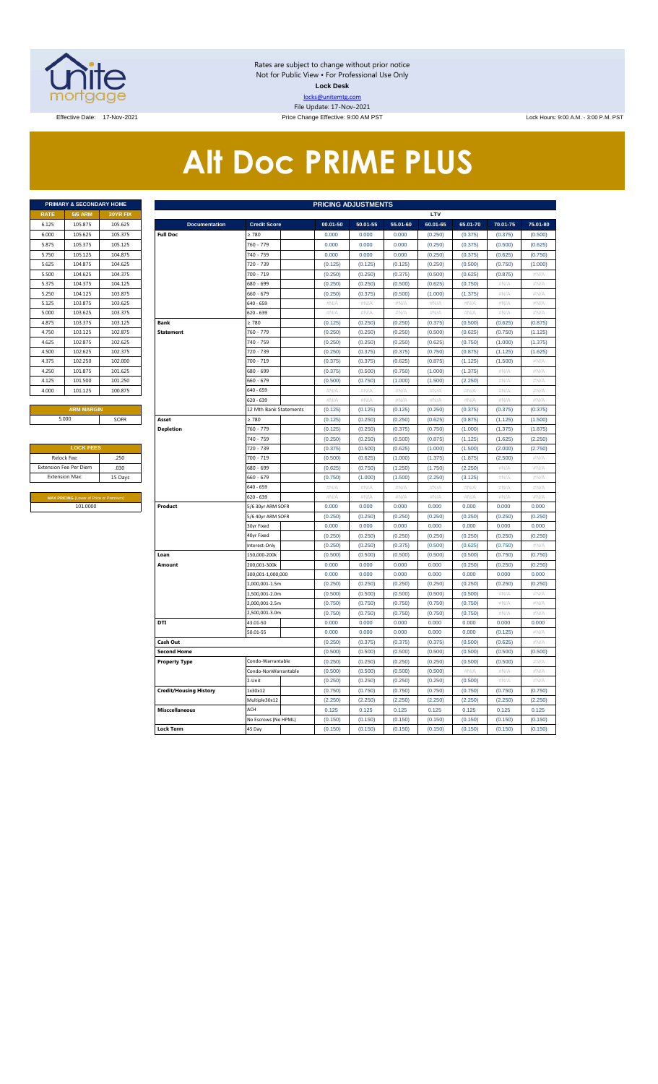

Rates are subject to change without prior notice Not for Public View • For Professional Use Only **Lock Desk** locks@unitemtg.com File Update: 17-Nov-2021

Effective: 9:00 AM PST Lock Hours: 9:00 AM. - 3:00 P.M. PST Lock Hours: 9:00 AM. - 3:00 P.M. PST

# **Alt Doc PRIME PLUS**

|             | <b>PRIMARY &amp; SECONDARY HOME</b> |                 |
|-------------|-------------------------------------|-----------------|
| <b>RATE</b> | <b>5/6 ARM</b>                      | <b>30YR FIX</b> |
| 6.125       | 105.875                             | 105.625         |
| 6.000       | 105.625                             | 105.375         |
| 5.875       | 105.375                             | 105.125         |
| 5.750       | 105.125                             | 104.875         |
| 5.625       | 104.875                             | 104.625         |
| 5.500       | 104.625                             | 104.375         |
| 5.375       | 104.375                             | 104.125         |
| 5.250       | 104.125                             | 103.875         |
| 5.125       | 103.875                             | 103.625         |
| 5.000       | 103.625                             | 103.375         |
| 4.875       | 103.375                             | 103.125         |
| 4.750       | 103.125                             | 102.875         |
| 4.625       | 102.875                             | 102.625         |
| 4.500       | 102.625                             | 102.375         |
| 4.375       | 102.250                             | 102.000         |
| 4.250       | 101.875                             | 101.625         |
| 4.125       | 101.500                             | 101.250         |
| 4.000       | 101.125                             | 100.875         |
|             |                                     |                 |

| <b>LOCK FEES</b>                               |         |
|------------------------------------------------|---------|
| Relock Fee:                                    | .250    |
| <b>Extension Fee Per Diem</b>                  | .030    |
| <b>Extension Max:</b>                          | 15 Days |
|                                                |         |
| <b>MAX PRICING (Lower of Price or Premium)</b> |         |
| 101,0000                                       |         |

|             | PRIMARY & SECONDARY HOME                       |          |                               |                                 | <b>PRICING ADJUSTMENTS</b> |                    |                    |                    |                    |                    |                  |  |  |
|-------------|------------------------------------------------|----------|-------------------------------|---------------------------------|----------------------------|--------------------|--------------------|--------------------|--------------------|--------------------|------------------|--|--|
| <b>RATE</b> | <b>5/6 ARM</b>                                 | 30YR FIX |                               |                                 |                            |                    |                    | LTV                |                    |                    |                  |  |  |
| 6.125       | 105.875                                        | 105.625  | <b>Documentation</b>          | <b>Credit Score</b>             | 00.01-50                   | 50.01-55           | 55.01-60           | 60.01-65           | 65.01-70           | 70.01-75           | 75.01-80         |  |  |
| 6.000       | 105.625                                        | 105.375  | <b>Full Doc</b>               | 2780                            | 0.000                      | 0.000              | 0.000              | (0.250)            | (0.375)            | (0.375)            | (0.500)          |  |  |
| 5.875       | 105.375                                        | 105.125  |                               | 760 - 779                       | 0.000                      | 0.000              | 0.000              | (0.250)            | (0.375)            | (0.500)            | (0.625)          |  |  |
| 5.750       | 105.125                                        | 104.875  |                               | 740 - 759                       | 0.000                      | 0.000              | 0.000              | (0.250)            | (0.375)            | (0.625)            | (0.750)          |  |  |
| 5.625       | 104.875                                        | 104.625  |                               | 720 - 739                       | (0.125)                    | (0.125)            | (0.125)            | (0.250)            | (0.500)            | (0.750)            | (1.000)          |  |  |
| 5.500       | 104.625                                        | 104.375  |                               | 700 - 719                       | (0.250)                    | (0.250)            | (0.375)            | (0.500)            | (0.625)            | (0.875)            | $\#N/\beta$      |  |  |
| 5.375       | 104.375                                        | 104.125  |                               | 680 - 699                       | (0.250)                    | (0.250)            | (0.500)            | (0.625)            | (0.750)            | #N/A               | #N/A             |  |  |
| 5.250       | 104.125                                        | 103.875  |                               | $560 - 679$                     | (0.250)                    | (0.375)            | (0.500)            | (1.000)            | (1.375)            | #N/A               | #N/A             |  |  |
| 5.125       | 103.875                                        | 103.625  |                               | 640 - 659                       | $\#N/A$                    | $\#N/A$            | $\#N/A$            | $\#N/A$            | #N/A               | #N/A               | $\#N/\beta$      |  |  |
| 5.000       | 103.625                                        | 103.375  |                               | 620 - 639                       | $\#N/A$                    | #N/A               | #N/A               | #N/A               | $\#N/A$            | #N/A               | $\#N/A$          |  |  |
| 4.875       | 103.375                                        | 103.125  | <b>Bank</b>                   | $\geq 780$                      | (0.125)                    | (0.250)            | (0.250)            | (0.375)            | (0.500)            | (0.625)            | (0.875)          |  |  |
| 4.750       | 103.125                                        | 102.875  | <b>Statement</b>              | 760 - 779                       | (0.250)                    | (0.250)            | (0.250)            | (0.500)            | (0.625)            | (0.750)            | (1.125)          |  |  |
| 4.625       | 102.875                                        | 102.625  |                               | 740 - 759                       | (0.250)                    | (0.250)            | (0.250)            | (0.625)            | (0.750)            | (1.000)            | (1.375)          |  |  |
| 4.500       | 102.625                                        | 102.375  |                               | 720 - 739                       | (0.250)                    | (0.375)            | (0.375)            | (0.750)            | (0.875)            | (1.125)            | (1.625)          |  |  |
| 4.375       | 102.250                                        | 102.000  |                               | 700 - 719                       | (0.375)                    | (0.375)            | (0.625)            | (0.875)            | (1.125)            | (1.500)            | #N/A             |  |  |
| 4.250       | 101.875                                        | 101.625  |                               | 680 - 699                       | (0.375)                    | (0.500)            | (0.750)            | (1.000)            | (1.375)            | #N/A               | #N/A             |  |  |
| 4.125       | 101.500                                        | 101.250  |                               | 660 - 679                       | (0.500)                    | (0.750)            | (1.000)            | (1.500)            | (2.250)            | #N/A               | #N/A             |  |  |
| 4.000       | 101.125                                        | 100.875  |                               | 640 - 659                       | #N/A                       | #N/A               | #N/A               | $\#N/A$            | #N/A               | #N/A               | #N/A             |  |  |
|             |                                                |          |                               | 620 - 639                       | $\#N/A$                    | #N/A               | $\#N/A$            | $\#N/A$            | #N/A               | #N/A               | #N/A             |  |  |
|             | <b>ARM MARGIN</b>                              |          |                               | 12 Mth Bank Statements          | (0.125)                    | (0.125)            | (0.125)            | (0.250)            | (0.375)            | (0.375)            | (0.375)          |  |  |
|             | 5.000<br>SOFR                                  |          | Asset                         | $\geq 780$                      | (0.125)                    | (0.250)            | (0.250)            | (0.625)            | (0.875)            | (1.125)            | (1.500)          |  |  |
|             |                                                |          | <b>Depletion</b>              | 760 - 779                       | (0.125)                    | (0.250)            | (0.375)            | (0.750)            | (1.000)            | (1.375)            | (1.875)          |  |  |
|             |                                                |          |                               | 740 - 759                       | (0.250)                    | (0.250)            | (0.500)            | (0.875)            | (1.125)            | (1.625)            | (2.250)          |  |  |
|             | <b>LOCK FEES</b>                               |          |                               | 720 - 739                       | (0.375)                    | (0.500)            | (0.625)            | (1.000)            | (1.500)            | (2.000)            | (2.750)          |  |  |
|             | Relock Fee:                                    | .250     |                               | 700 - 719                       | (0.500)                    | (0.625)            | (1.000)            | (1.375)            | (1.875)            | (2.500)            | #N/A             |  |  |
|             | xtension Fee Per Diem                          | .030     |                               | 680 - 699                       | (0.625)                    | (0.750)            | (1.250)            | (1.750)            | (2.250)            | # $N/A$            | #N/A             |  |  |
|             | <b>Extension Max:</b>                          | 15 Days  |                               | $660 - 679$                     | (0.750)                    | (1.000)            | (1.500)            | (2.250)            | (3.125)            | #N/A               | $\#N/A$          |  |  |
|             |                                                |          |                               | 640 - 659                       | #N/A                       | #N/A               | $\#N/A$            | $\#N/A$            | #N/A               | #N/A               | #N/A             |  |  |
|             | <b>MAX PRICING</b> (Lower of Price or Premium) |          |                               | 620 - 639                       | #N/A                       | #N/A               | #N/A               | #N/A               | #N/A               | #N/A               | #N/A             |  |  |
|             | 101.0000                                       |          | Product                       | 5/6 30yr ARM SOFR               | 0.000                      | 0.000              | 0.000              | 0.000              | 0.000              | 0.000              | 0.000            |  |  |
|             |                                                |          |                               | 5/6 40yr ARM SOFR<br>30yr Fixed | (0.250)<br>0.000           | (0.250)<br>0.000   | (0.250)<br>0.000   | (0.250)<br>0.000   | (0.250)<br>0.000   | (0.250)<br>0.000   | (0.250)<br>0.000 |  |  |
|             |                                                |          |                               |                                 |                            |                    |                    |                    |                    |                    |                  |  |  |
|             |                                                |          |                               | 40yr Fixed<br>nterest-Only      | (0.250)<br>(0.250)         | (0.250)<br>(0.250) | (0.250)<br>(0.375) | (0.250)<br>(0.500) | (0.250)<br>(0.625) | (0.250)<br>(0.750) | (0.250)<br>#N/A  |  |  |
|             |                                                |          | Loan                          | 150,000-200k                    | (0.500)                    | (0.500)            | (0.500)            | (0.500)            | (0.500)            | (0.750)            | (0.750)          |  |  |
|             |                                                |          | Amount                        | 200,001-300k                    | 0.000                      | 0.000              | 0.000              | 0.000              | (0.250)            | (0.250)            | (0.250)          |  |  |
|             |                                                |          |                               | 300,001-1,000,000               | 0.000                      | 0.000              | 0.000              | 0.000              | 0.000              | 0.000              | 0.000            |  |  |
|             |                                                |          |                               | 1,000,001-1.5m                  | (0.250)                    | (0.250)            | (0.250)            | (0.250)            | (0.250)            | (0.250)            | (0.250)          |  |  |
|             |                                                |          |                               | .,500,001-2.0m                  | (0.500)                    | (0.500)            | (0.500)            | (0.500)            | (0.500)            | # $N/A$            | #N/A             |  |  |
|             |                                                |          |                               | 2,000,001-2.5m                  | (0.750)                    | (0.750)            | (0.750)            | (0.750)            | (0.750)            | #N/A               | #N/A             |  |  |
|             |                                                |          |                               | 2,500,001-3.0m                  | (0.750)                    | (0.750)            | (0.750)            | (0.750)            | (0.750)            | #N/A               | #N/A             |  |  |
|             |                                                |          | DTI                           | 43.01-50                        | 0.000                      | 0.000              | 0.000              | 0.000              | 0.000              | 0.000              | 0.000            |  |  |
|             |                                                |          |                               | 50.01-55                        | 0.000                      | 0.000              | 0.000              | 0.000              | 0.000              | (0.125)            | #N/A             |  |  |
|             |                                                |          | Cash Out                      |                                 | (0.250)                    | (0.375)            | (0.375)            | (0.375)            | (0.500)            | (0.625)            | #N/A             |  |  |
|             |                                                |          | <b>Second Home</b>            |                                 | (0.500)                    | (0.500)            | (0.500)            | (0.500)            | (0.500)            | (0.500)            | (0.500)          |  |  |
|             |                                                |          | <b>Property Type</b>          | Condo-Warrantable               | (0.250)                    | (0.250)            | (0.250)            | (0.250)            | (0.500)            | (0.500)            | #N//             |  |  |
|             |                                                |          |                               | Condo-NonWarrantable            | (0.500)                    | (0.500)            | (0.500)            | (0.500)            | #N/A               | #N/A               | #N/A             |  |  |
|             |                                                |          |                               | $2$ -Unit                       | (0.250)                    | (0.250)            | (0.250)            | (0.250)            | (0.500)            | #N/A               | #N/A             |  |  |
|             |                                                |          | <b>Credit/Housing History</b> | 1x30x12                         | (0.750)                    | (0.750)            | (0.750)            | (0.750)            | (0.750)            | (0.750)            | (0.750)          |  |  |
|             |                                                |          |                               | Multiple30x12                   | (2.250)                    | (2.250)            | (2.250)            | (2.250)            | (2.250)            | (2.250)            | (2.250)          |  |  |
|             |                                                |          | <b>Misccellaneous</b>         | ACH                             | 0.125                      | 0.125              | 0.125              | 0.125              | 0.125              | 0.125              | 0.125            |  |  |
|             |                                                |          |                               | No Escrows (No HPML)            | (0.150)                    | (0.150)            | (0.150)            | (0.150)            | (0.150)            | (0.150)            | (0.150)          |  |  |
|             |                                                |          | <b>Lock Term</b>              | 45 Day                          | (0.150)                    | (0.150)            | (0.150)            | (0.150)            | (0.150)            | (0.150)            | (0.150)          |  |  |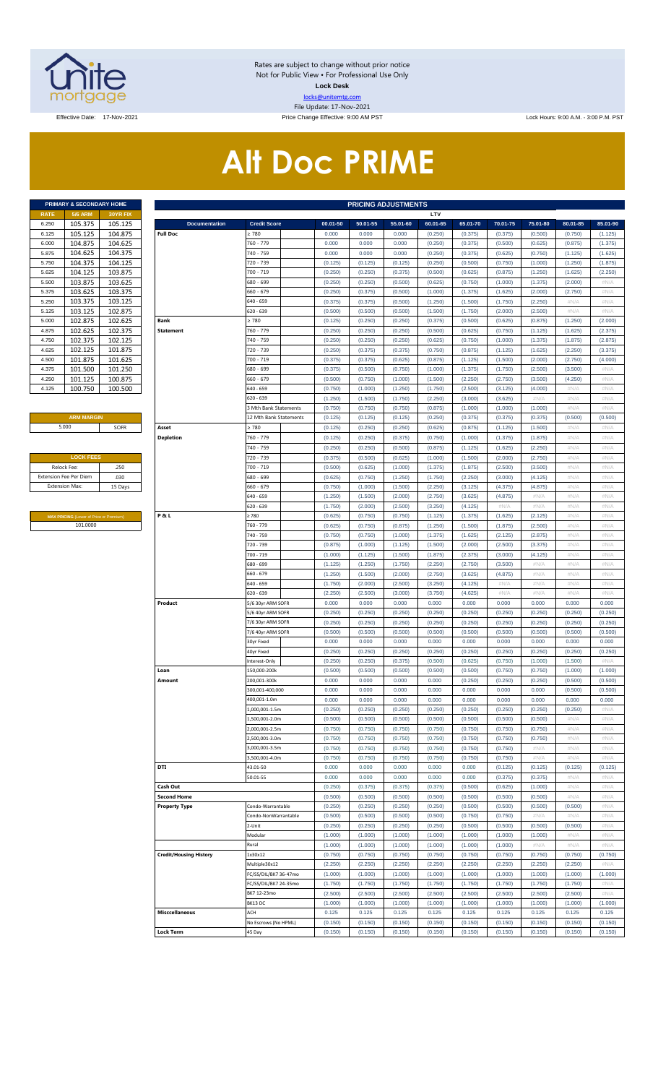

Rates are subject to change without prior notice Not for Public View • For Professional Use Only **Lock Desk** locks@unitemtg.com File Update: 17-Nov-2021

Effective Date: 17-Nov-2021 Price Change Effective: 9:00 AM PST Lock Hours: 9:00 A.M. - 3:00 P.M. PST

# **Alt Doc PRIME**

|             | <b>PRIMARY &amp; SECONDARY HOME</b> |                 |
|-------------|-------------------------------------|-----------------|
| <b>RATE</b> | <b>5/6 ARM</b>                      | <b>30YR FIX</b> |
| 6.250       | 105.375                             | 105.125         |
| 6.125       | 105.125                             | 104.875         |
| 6.000       | 104.875                             | 104.625         |
| 5.875       | 104.625                             | 104.375         |
| 5.750       | 104.375                             | 104.125         |
| 5.625       | 104.125                             | 103.875         |
| 5.500       | 103.875                             | 103.625         |
| 5.375       | 103.625                             | 103.375         |
| 5.250       | 103.375                             | 103.125         |
| 5.125       | 103.125                             | 102.875         |
| 5.000       | 102.875                             | 102.625         |
| 4.875       | 102.625                             | 102.375         |
| 4.750       | 102.375                             | 102.125         |
| 4.625       | 102.125                             | 101.875         |
| 4.500       | 101.875                             | 101.625         |
| 4.375       | 101.500                             | 101.250         |
| 4.250       | 101.125                             | 100.875         |
| 4.125       | 100.750                             | 100.500         |

#### **ARM MARGIN** 5.000

| <b>LOCK FEES</b>              |         |
|-------------------------------|---------|
| Relock Fee:                   | .250    |
| <b>Extension Fee Per Diem</b> | .030    |
| <b>Extension Max:</b>         | 15 Days |
|                               |         |

**MAX PRICING** (Lower of Price or Premium) 101.0000

|                | PRIMARY & SECONDARY HOME                            |                    |                               |                                      |                    | <b>PRICING ADJUSTMENTS</b> |                    |                    |                    |                    |                    |                    |                    |
|----------------|-----------------------------------------------------|--------------------|-------------------------------|--------------------------------------|--------------------|----------------------------|--------------------|--------------------|--------------------|--------------------|--------------------|--------------------|--------------------|
| RATE           | <b>5/6 ARM</b>                                      | 30YR FIX           |                               |                                      |                    |                            |                    | LTV                |                    |                    |                    |                    |                    |
| 6.250          | 105.375                                             | 105.125            | <b>Documentation</b>          | <b>Credit Score</b>                  | 00.01-50           | 50.01-55                   | 55.01-60           | 60.01-65           | 65.01-70           | 70.01-75           | 75.01-80           | 80.01-85           | 85.01-90           |
| 6.125          | 105.125                                             | 104.875            | <b>Full Doc</b>               | 2780                                 | 0.000              | 0.000                      | 0.000              | (0.250)            | (0.375)            | (0.375)            | (0.500)            | (0.750)            | (1.125)            |
| 6.000<br>5.875 | 104.875<br>104.625                                  | 104.625            |                               | 760 - 779<br>740 - 759               | 0.000<br>0.000     | 0.000<br>0.000             | 0.000<br>0.000     | (0.250)            | (0.375)            | (0.500)            | (0.625)            | (0.875)            | (1.375)            |
| 5.750          | 104.375                                             | 104.375<br>104.125 |                               | 720 - 739                            | (0.125)            | (0.125)                    | (0.125)            | (0.250)<br>(0.250) | (0.375)<br>(0.500) | (0.625)<br>(0.750) | (0.750)<br>(1.000) | (1.125)<br>(1.250) | (1.625)<br>(1.875) |
| 5.625          | 104.125                                             | 103.875            |                               | 700 - 719                            | (0.250)            | (0.250)                    | (0.375)            | (0.500)            | (0.625)            | (0.875)            | (1.250)            | (1.625)            | (2.250)            |
| 5.500          | 103.875                                             | 103.625            |                               | 680 - 699                            | (0.250)            | (0.250)                    | (0.500)            | (0.625)            | (0.750)            | (1.000)            | (1.375)            | (2.000)            | #N/A               |
| 5.375          | 103.625                                             | 103.375            |                               | 660 - 679                            | (0.250)            | (0.375)                    | (0.500)            | (1.000)            | (1.375)            | (1.625)            | (2.000)            | (2.750)            | #N/A               |
| 5.250          | 103.375                                             | 103.125            |                               | $640 - 659$                          | (0.375)            | (0.375)                    | (0.500)            | (1.250)            | (1.500)            | (1.750)            | (2.250)            | #N/A               | #N/A               |
| 5.125          | 103.125                                             | 102.875            |                               | $620 - 639$                          | (0.500)            | (0.500)                    | (0.500)            | (1.500)            | (1.750)            | (2.000)            | (2.500)            | #N/A               | #N/A               |
| 5.000          | 102.875                                             | 102.625            | <b>Bank</b>                   | 2780                                 | (0.125)            | (0.250)                    | (0.250)            | (0.375)            | (0.500)            | (0.625)            | (0.875)            | (1.250)            | (2.000)            |
| 4.875          | 102.625                                             | 102.375            | <b>Statement</b>              | 760 - 779                            | (0.250)            | (0.250)                    | (0.250)            | (0.500)            | (0.625)            | (0.750)            | (1.125)            | (1.625)            | (2.375)            |
| 4.750          | 102.375                                             | 102.125            |                               | 740 - 759                            | (0.250)            | (0.250)                    | (0.250)            | (0.625)            | (0.750)            | (1.000)            | (1.375)            | (1.875)            | (2.875)            |
| 4.625          | 102.125                                             | 101.875            |                               | 720 - 739                            | (0.250)            | (0.375)                    | (0.375)            | (0.750)            | (0.875)            | (1.125)            | (1.625)            | (2.250)            | (3.375)            |
| 4.500          | 101.875                                             | 101.625            |                               | 700 - 719                            | (0.375)            | (0.375)                    | (0.625)            | (0.875)            | (1.125)            | (1.500)            | (2.000)            | (2.750)            | (4.000)            |
| 4.375<br>4.250 | 101.500<br>101.125                                  | 101.250<br>100.875 |                               | 680 - 699<br>660 - 679               | (0.375)<br>(0.500) | (0.500)<br>(0.750)         | (0.750)<br>(1.000) | (1.000)<br>(1.500) | (1.375)<br>(2.250) | (1.750)<br>(2.750) | (2.500)<br>(3.500) | (3.500)<br>(4.250) | #N/A<br>#N/A       |
| 4.125          | 100.750                                             | 100.500            |                               | 640 - 659                            | (0.750)            | (1.000)                    | (1.250)            | (1.750)            | (2.500)            | (3.125)            | (4.000)            | #N/A               | #N/A               |
|                |                                                     |                    |                               | $620 - 639$                          | (1.250)            | (1.500)                    | (1.750)            | (2.250)            | (3.000)            | (3.625)            | #N/A               | #N/A               | #N/A               |
|                |                                                     |                    |                               | 3 Mth Bank Statements                | (0.750)            | (0.750)                    | (0.750)            | (0.875)            | (1.000)            | (1.000)            | (1.000)            | #N/A               | #N/A               |
|                | <b>ARM MARGIN</b>                                   |                    |                               | 12 Mth Bank Statements               | (0.125)            | (0.125)                    | (0.125)            | (0.250)            | (0.375)            | (0.375)            | (0.375)            | (0.500)            | (0.500)            |
|                | 5.000                                               | SOFR               | Asset                         | 2780                                 | (0.125)            | (0.250)                    | (0.250)            | (0.625)            | (0.875)            | (1.125)            | (1.500)            | #N/A               | #N/A               |
|                |                                                     |                    | <b>Depletion</b>              | 760 - 779                            | (0.125)            | (0.250)                    | (0.375)            | (0.750)            | (1.000)            | (1.375)            | (1.875)            | #N/A               | #N/A               |
|                |                                                     |                    |                               | 740 - 759                            | (0.250)            | (0.250)                    | (0.500)            | (0.875)            | (1.125)            | (1.625)            | (2.250)            | #N/A               | #N/A               |
|                | <b>LOCK FEES</b>                                    |                    |                               | 720 - 739                            | (0.375)            | (0.500)                    | (0.625)            | (1.000)            | (1.500)            | (2.000)            | (2.750)            | #N/A               | #N/A               |
| Relock Fee:    |                                                     | .250               |                               | 700 - 719                            | (0.500)            | (0.625)                    | (1.000)            | (1.375)            | (1.875)            | (2.500)            | (3.500)            | #N/A               | #N/A               |
|                | xtension Fee Per Diem                               | .030               |                               | 680 - 699                            | (0.625)            | (0.750)                    | (1.250)            | (1.750)            | (2.250)            | (3.000)            | (4.125)            | #N/A               | #N/A               |
|                | <b>Extension Max:</b>                               | 15 Days            |                               | $660 - 679$                          | (0.750)            | (1.000)                    | (1.500)            | (2.250)            | (3.125)            | (4.375)            | (4.875)            | #N/A               | #N/A               |
|                |                                                     |                    |                               | 640 - 659                            | (1.250)            | (1.500)                    | (2.000)            | (2.750)            | (3.625)            | (4.875)            | #N/A               | #N/A               | #N/A               |
|                |                                                     |                    |                               | $620 - 639$                          | (1.750)            | (2.000)                    | (2.500)            | (3.250)            | (4.125)            | #N/A               | #N/A               | #N/A               | #N/A               |
|                | MAX PRICING (Lower of Price or Premium)<br>101.0000 |                    | <b>P&amp;L</b>                | 2780                                 | (0.625)            | (0.750)                    | (0.750)            | (1.125)            | (1.375)            | (1.625)            | (2.125)            | #N/A               | #N/A               |
|                |                                                     |                    |                               | 760 - 779<br>740 - 759               | (0.625)<br>(0.750) | (0.750)<br>(0.750)         | (0.875)<br>(1.000) | (1.250)<br>(1.375) | (1.500)<br>(1.625) | (1.875)<br>(2.125) | (2.500)<br>(2.875) | #N/A<br>#N/A       | #N/A<br>#N/A       |
|                |                                                     |                    |                               | 720 - 739                            | (0.875)            | (1.000)                    | (1.125)            | (1.500)            | (2.000)            | (2.500)            | (3.375)            | #N/A               | #N/A               |
|                |                                                     |                    |                               | 700 - 719                            | (1.000)            | (1.125)                    | (1.500)            | (1.875)            | (2.375)            | (3.000)            | (4.125)            | #N/A               | #N/A               |
|                |                                                     |                    |                               | 680 - 699                            | (1.125)            | (1.250)                    | (1.750)            | (2.250)            | (2.750)            | (3.500)            | #N/A               | #N/A               | #N/A               |
|                |                                                     |                    |                               | $660 - 679$                          | (1.250)            | (1.500)                    | (2.000)            | (2.750)            | (3.625)            | (4.875)            | #N/A               | #N/A               | #N/A               |
|                |                                                     |                    |                               | $640 - 659$                          | (1.750)            | (2.000)                    | (2.500)            | (3.250)            | (4.125)            | #N/A               | #N/A               | #N/A               | #N/A               |
|                |                                                     |                    |                               | $620 - 639$                          | (2.250)            | (2.500)                    | (3.000)            | (3.750)            | (4.625)            | #N/A               | #N/A               | #N/A               | #N/A               |
|                |                                                     |                    | Product                       | 5/6 30yr ARM SOFR                    | 0.000              | 0.000                      | 0.000              | 0.000              | 0.000              | 0.000              | 0.000              | 0.000              | 0.000              |
|                |                                                     |                    |                               | 5/6 40yr ARM SOFR                    | (0.250)            | (0.250)                    | (0.250)            | (0.250)            | (0.250)            | (0.250)            | (0.250)            | (0.250)            | (0.250)            |
|                |                                                     |                    |                               | 7/6 30yr ARM SOFR                    | (0.250)            | (0.250)                    | (0.250)            | (0.250)            | (0.250)            | (0.250)            | (0.250)            | (0.250)            | (0.250)            |
|                |                                                     |                    |                               | 7/6 40yr ARM SOFR                    | (0.500)            | (0.500)                    | (0.500)            | (0.500)            | (0.500)            | (0.500)            | (0.500)            | (0.500)            | (0.500)            |
|                |                                                     |                    |                               | 30yr Fixed                           | 0.000              | 0.000                      | 0.000              | 0.000              | 0.000              | 0.000              | 0.000              | 0.000              | 0.000              |
|                |                                                     |                    |                               | 40yr Fixed<br>Interest-Only          | (0.250)<br>(0.250) | (0.250)<br>(0.250)         | (0.250)<br>(0.375) | (0.250)<br>(0.500) | (0.250)<br>(0.625) | (0.250)<br>(0.750) | (0.250)<br>(1.000) | (0.250)<br>(1.500) | (0.250)<br>#N/A    |
|                |                                                     |                    | Loan                          | 150.000-200k                         | (0.500)            | (0.500)                    | (0.500)            | (0.500)            | (0.500)            | (0.750)            | (0.750)            | (1.000)            | (1.000)            |
|                |                                                     |                    | Amount                        | 200,001-300k                         | 0.000              | 0.000                      | 0.000              | 0.000              | (0.250)            | (0.250)            | (0.250)            | (0.500)            | (0.500)            |
|                |                                                     |                    |                               | 300,001-400,000                      | 0.000              | 0.000                      | 0.000              | 0.000              | 0.000              | 0.000              | 0.000              | (0.500)            | (0.500)            |
|                |                                                     |                    |                               | 400,001-1.0m                         | 0.000              | 0.000                      | 0.000              | 0.000              | 0.000              | 0.000              | 0.000              | 0.000              | 0.000              |
|                |                                                     |                    |                               | $.000.001 - 1.5m$                    | (0.250)            | (0.250)                    | (0.250)            | (0.250)            | (0.250)            | (0.250)            | (0.250)            | (0.250)            | #N/A               |
|                |                                                     |                    |                               | .500.001-2.0m                        | (0.500)            | (0.500)                    | (0.500)            | (0.500)            | (0.500)            | (0.500)            | (0.500)            | #N/A               | #N/A               |
|                |                                                     |                    |                               | 2.000.001-2.5m                       | (0.750)            | (0.750)                    | (0.750)            | (0.750)            | (0.750)            | (0.750)            | (0.750)            | #N/A               | #N/A               |
|                |                                                     |                    |                               | 2.500.001-3.0m                       | (0.750)            | (0.750)                    | (0.750)            | (0.750)            | (0.750)            | (0.750)            | (0.750)            | #N/A               | #N/A               |
|                |                                                     |                    |                               | 000,001-3.5m                         | (0.750)            | (0.750)                    | (0.750)            | (0.750)            | (0.750)            | (0.750)            | #N/A               | #N/A               | #N/A               |
|                |                                                     |                    | DTI                           | 500,001-4.0m<br>43.01-50             | (0.750)<br>0.000   | (0.750)<br>0.000           | (0.750)<br>0.000   | (0.750)<br>0.000   | (0.750)<br>0.000   | (0.750)            | #N/A               | $\#N/A$<br>(0.125) | #N/A<br>(0.125)    |
|                |                                                     |                    |                               | 50.01-55                             | 0.000              | 0.000                      | 0.000              | 0.000              | 0.000              | (0.125)<br>(0.375) | (0.125)<br>(0.375) | #N/A               | #N/A               |
|                |                                                     |                    | Cash Out                      |                                      | (0.250)            | (0.375)                    | (0.375)            | (0.375)            | (0.500)            | (0.625)            | (1.000)            | #N/A               | #N/A               |
|                |                                                     |                    | <b>Second Home</b>            |                                      | (0.500)            | (0.500)                    | (0.500)            | (0.500)            | (0.500)            | (0.500)            | (0.500)            | #N/A               | #N/A               |
|                |                                                     |                    | <b>Property Type</b>          | Condo-Warrantable                    | (0.250)            | (0.250)                    | (0.250)            | (0.250)            | (0.500)            | (0.500)            | (0.500)            | (0.500)            | #N/A               |
|                |                                                     |                    |                               | Condo-NonWarrantable                 | (0.500)            | (0.500)                    | (0.500)            | (0.500)            | (0.750)            | (0.750)            | #N/A               | #N/A               | #N/A               |
|                |                                                     |                    |                               | 2-Unit                               | (0.250)            | (0.250)                    | (0.250)            | (0.250)            | (0.500)            | (0.500)            | (0.500)            | (0.500)            | #N/A               |
|                |                                                     |                    |                               | Modular                              | (1.000)            | (1.000)                    | (1.000)            | (1.000)            | (1.000)            | (1.000)            | (1.000)            | #N/A               | #N/A               |
|                |                                                     |                    |                               | Rural                                | (1.000)            | (1.000)                    | (1.000)            | (1.000)            | (1.000)            | (1.000)            | #N/A               | #N/A               | #N/A               |
|                |                                                     |                    | <b>Credit/Housing History</b> | 1x30x12                              | (0.750)            | (0.750)                    | (0.750)            | (0.750)            | (0.750)            | (0.750)            | (0.750)            | (0.750)            | (0.750)            |
|                |                                                     |                    |                               | Multiple30x12                        | (2.250)            | (2.250)                    | (2.250)            | (2.250)            | (2.250)            | (2.250)            | (2.250)            | (2.250)            | #N/A               |
|                |                                                     |                    |                               | FC/SS/DIL/BK7 36-47mo                | (1.000)            | (1.000)                    | (1.000)            | (1.000)            | (1.000)            | (1.000)            | (1.000)            | (1.000)            | (1.000)            |
|                |                                                     |                    |                               | FC/SS/DIL/BK7 24-35mo<br>BK7 12-23mo | (1.750)<br>(2.500) | (1.750)<br>(2.500)         | (1.750)<br>(2.500) | (1.750)<br>(2.500) | (1.750)<br>(2.500) | (1.750)<br>(2.500) | (1.750)<br>(2.500) | (1.750)<br>(2.500) | #N/A<br>#N/A       |
|                |                                                     |                    |                               | BK13 DC                              | (1.000)            | (1.000)                    | (1.000)            | (1.000)            | (1.000)            | (1.000)            | (1.000)            | (1.000)            | (1.000)            |
|                |                                                     |                    | <b>Misccellaneous</b>         | ACH                                  | 0.125              | 0.125                      | 0.125              | 0.125              | 0.125              | 0.125              | 0.125              | 0.125              | 0.125              |
|                |                                                     |                    |                               | No Escrows (No HPML)                 | (0.150)            | (0.150)                    | (0.150)            | (0.150)            | (0.150)            | (0.150)            | (0.150)            | (0.150)            | (0.150)            |
|                |                                                     |                    | <b>Lock Term</b>              | 45 Day                               | (0.150)            | (0.150)                    | (0.150)            | (0.150)            | (0.150)            | (0.150)            | (0.150)            | (0.150)            | (0.150)            |
|                |                                                     |                    |                               |                                      |                    |                            |                    |                    |                    |                    |                    |                    |                    |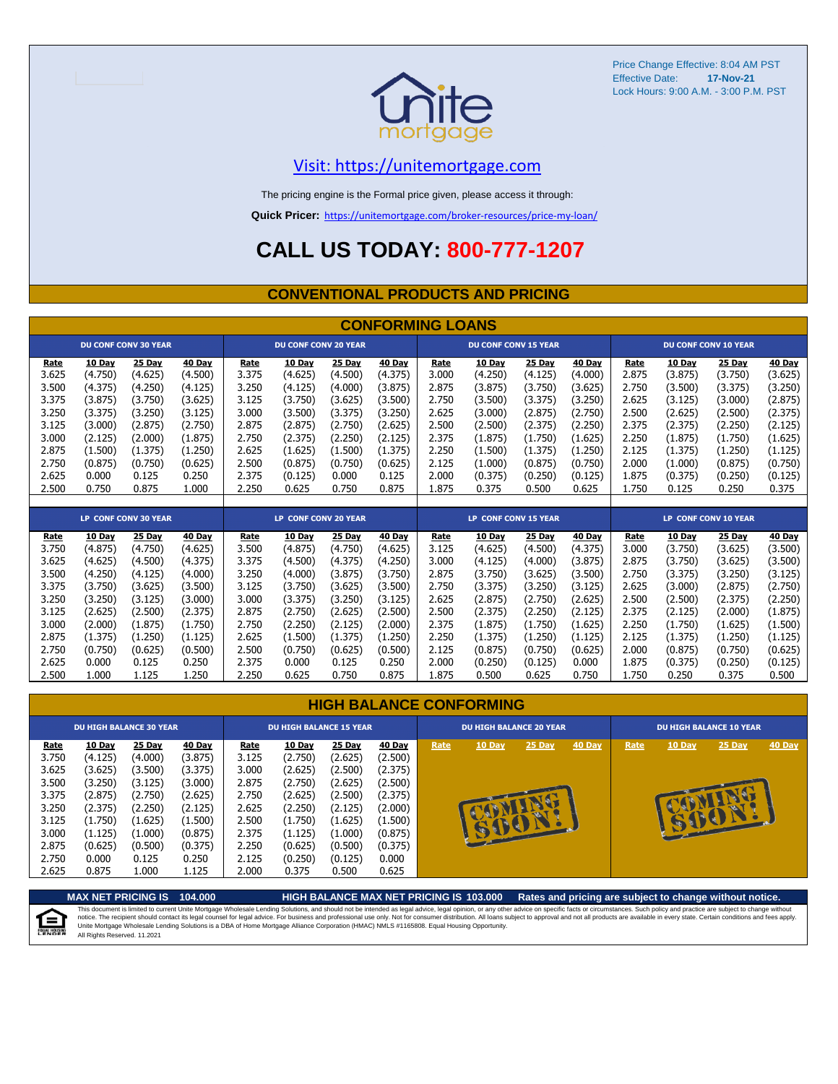

#### [V](https://unitemortgage.com/)isit: https://unitemortgage.com

The pricing engine is the Formal price given, please access it through:

**Quick Pricer:** [https://un](https://unitemortgage.com/broker-resources/price-my-loan/)itemortgage.com/broker-resources/price-my-loan/

### **CALL US TODAY: 800-777-1207**

#### **CONVENTIONAL PRODUCTS AND PRICING**

|       |                             |                             |         | <b>CONFORMING LOANS</b> |                             |         |         |                             |                             |         |         |       |                      |                             |         |  |
|-------|-----------------------------|-----------------------------|---------|-------------------------|-----------------------------|---------|---------|-----------------------------|-----------------------------|---------|---------|-------|----------------------|-----------------------------|---------|--|
|       |                             | <b>DU CONF CONV 30 YEAR</b> |         |                         | <b>DU CONF CONV 20 YEAR</b> |         |         |                             | <b>DU CONF CONV 15 YEAR</b> |         |         |       |                      | <b>DU CONF CONV 10 YEAR</b> |         |  |
| Rate  | 10 Day                      | 25 Day                      | 40 Day  | Rate                    | 10 Day                      | 25 Day  | 40 Day  | Rate                        | 10 Day                      | 25 Day  | 40 Day  | Rate  | 10 Day               | 25 Day                      | 40 Day  |  |
| 3.625 | (4.750)                     | (4.625)                     | (4.500) | 3.375                   | (4.625)                     | (4.500) | (4.375) | 3.000                       | (4.250)                     | (4.125) | (4.000) | 2.875 | (3.875)              | (3.750)                     | (3.625) |  |
| 3.500 | (4.375)                     | (4.250)                     | (4.125) | 3.250                   | (4.125)                     | (4.000) | (3.875) | 2.875                       | (3.875)                     | (3.750) | (3.625) | 2.750 | (3.500)              | (3.375)                     | (3.250) |  |
| 3.375 | (3.875)                     | (3.750)                     | (3.625) | 3.125                   | (3.750)                     | (3.625) | (3.500) | 2.750                       | (3.500)                     | (3.375) | (3.250) | 2.625 | (3.125)              | (3.000)                     | (2.875) |  |
| 3.250 | (3.375)                     | (3.250)                     | (3.125) | 3.000                   | (3.500)                     | (3.375) | (3.250) | 2.625                       | (3.000)                     | (2.875) | (2.750) | 2.500 | (2.625)              | (2.500)                     | (2.375) |  |
| 3.125 | (3.000)                     | (2.875)                     | (2.750) | 2.875                   | (2.875)                     | (2.750) | (2.625) | 2.500                       | (2.500)                     | (2.375) | (2.250) | 2.375 | (2.375)              | (2.250)                     | (2.125) |  |
| 3.000 | (2.125)                     | (2.000)                     | (1.875) | 2.750                   | (2.375)                     | (2.250) | (2.125) | 2.375                       | (1.875)                     | (1.750) | (1.625) | 2.250 | (1.875)              | (1.750)                     | (1.625) |  |
| 2.875 | (1.500)                     | (1.375)                     | (1.250) | 2.625                   | (1.625)                     | (1.500) | (1.375) | 2.250                       | (1.500)                     | (1.375) | (1.250) | 2.125 | (1.375)              | (1.250)                     | (1.125) |  |
| 2.750 | (0.875)                     | (0.750)                     | (0.625) | 2.500                   | (0.875)                     | (0.750) | (0.625) | 2.125                       | (1.000)                     | (0.875) | (0.750) | 2.000 | (1.000)              | (0.875)                     | (0.750) |  |
| 2.625 | 0.000                       | 0.125                       | 0.250   | 2.375                   | (0.125)                     | 0.000   | 0.125   | 2.000                       | (0.375)                     | (0.250) | (0.125) | 1.875 | (0.375)              | (0.250)                     | (0.125) |  |
| 2.500 | 0.750                       | 0.875                       | 1.000   | 2.250                   | 0.625                       | 0.750   | 0.875   | 1.875                       | 0.375                       | 0.500   | 0.625   | 1.750 | 0.125                | 0.250                       | 0.375   |  |
|       |                             |                             |         |                         |                             |         |         |                             |                             |         |         |       |                      |                             |         |  |
|       | <b>LP CONF CONV 30 YEAR</b> |                             |         | LP CONF CONV 20 YEAR    |                             |         |         | <b>LP CONF CONV 15 YEAR</b> |                             |         |         |       | LP CONF CONV 10 YEAR |                             |         |  |
|       |                             |                             |         |                         |                             |         |         |                             |                             |         |         |       |                      |                             |         |  |
| Rate  | 10 Day                      | <b>25 Day</b>               | 40 Day  | Rate                    | 10 Day                      | 25 Day  | 40 Day  | Rate                        | 10 Day                      | 25 Day  | 40 Day  | Rate  | 10 Day               | 25 Day                      | 40 Day  |  |
| 3.750 | (4.875)                     | (4.750)                     | (4.625) | 3.500                   | (4.875)                     | (4.750) | (4.625) | 3.125                       | (4.625)                     | (4.500) | (4.375) | 3.000 | (3.750)              | (3.625)                     | (3.500) |  |
| 3.625 | (4.625)                     | (4.500)                     | (4.375) | 3.375                   | (4.500)                     | (4.375) | (4.250) | 3.000                       | (4.125)                     | (4.000) | (3.875) | 2.875 | (3.750)              | (3.625)                     | (3.500) |  |
| 3.500 | (4.250)                     | (4.125)                     | (4.000) | 3.250                   | (4.000)                     | (3.875) | (3.750) | 2.875                       | (3.750)                     | (3.625) | (3.500) | 2.750 | (3.375)              | (3.250)                     | (3.125) |  |
| 3.375 | (3.750)                     | (3.625)                     | (3.500) | 3.125                   | (3.750)                     | (3.625) | (3.500) | 2.750                       | (3.375)                     | (3.250) | (3.125) | 2.625 | (3.000)              | (2.875)                     | (2.750) |  |
| 3.250 | (3.250)                     | (3.125)                     | (3.000) | 3.000                   | (3.375)                     | (3.250) | (3.125) | 2.625                       | (2.875)                     | (2.750) | (2.625) | 2.500 | (2.500)              | (2.375)                     | (2.250) |  |
| 3.125 | (2.625)                     | (2.500)                     | (2.375) | 2.875                   | (2.750)                     | (2.625) | (2.500) | 2.500                       | (2.375)                     | (2.250) | (2.125) | 2.375 | (2.125)              | (2.000)                     | (1.875) |  |
| 3.000 | (2.000)                     | (1.875)                     | (1.750) | 2.750                   | (2.250)                     | (2.125) | (2.000) | 2.375                       | (1.875)                     | (1.750) | (1.625) | 2.250 | (1.750)              | (1.625)                     | (1.500) |  |
| 2.875 | (1.375)                     | (1.250)                     | (1.125) | 2.625                   | (1.500)                     | (1.375) | (1.250) | 2.250                       | (1.375)                     | (1.250) | (1.125) | 2.125 | (1.375)              | (1.250)                     | (1.125) |  |
| 2.750 | (0.750)                     | (0.625)                     | (0.500) | 2.500                   | (0.750)                     | (0.625) | (0.500) | 2.125                       | (0.875)                     | (0.750) | (0.625) | 2.000 | (0.875)              | (0.750)                     | (0.625) |  |

|  | <b>HIGH BALANCE CONFORMING</b> |
|--|--------------------------------|
|  |                                |

2.500 1.000 1.125 1.250 2.250 0.625 0.750 0.875 1.875 0.500 0.625 0.750 1.750 0.250 0.375 0.500

|                                                                                                | <b>DU HIGH BALANCE 30 YEAR</b>                                                                                   |                                                                                                                  |                                                                                                                  | <b>DU HIGH BALANCE 15 YEAR</b>                                                                 |                                                                                                                           |                                                                                                                    |                                                                                                                  |      | <b>DU HIGH BALANCE 20 YEAR</b> |              |        | <b>DU HIGH BALANCE 10 YEAR</b> |        |          |               |  |
|------------------------------------------------------------------------------------------------|------------------------------------------------------------------------------------------------------------------|------------------------------------------------------------------------------------------------------------------|------------------------------------------------------------------------------------------------------------------|------------------------------------------------------------------------------------------------|---------------------------------------------------------------------------------------------------------------------------|--------------------------------------------------------------------------------------------------------------------|------------------------------------------------------------------------------------------------------------------|------|--------------------------------|--------------|--------|--------------------------------|--------|----------|---------------|--|
| Rate<br>3.750<br>3.625<br>3.500<br>3.375<br>3.250<br>3.125<br>3.000<br>2.875<br>2.750<br>2.625 | 10 Day<br>(4.125)<br>(3.625)<br>(3.250)<br>(2.875)<br>(2.375)<br>(1.750)<br>(1.125)<br>(0.625)<br>0.000<br>0.875 | 25 Day<br>(4.000)<br>(3.500)<br>(3.125)<br>(2.750)<br>(2.250)<br>(1.625)<br>(1.000)<br>(0.500)<br>0.125<br>1.000 | 40 Day<br>(3.875)<br>(3.375)<br>(3.000)<br>(2.625)<br>(2.125)<br>(1.500)<br>(0.875)<br>(0.375)<br>0.250<br>1.125 | Rate<br>3.125<br>3.000<br>2.875<br>2.750<br>2.625<br>2.500<br>2.375<br>2.250<br>2.125<br>2.000 | <b>10 Day</b><br>(2.750)<br>(2.625)<br>(2.750)<br>(2.625)<br>(2.250)<br>(1.750)<br>(1.125)<br>(0.625)<br>(0.250)<br>0.375 | 25 Day<br>(2.625)<br>(2.500)<br>(2.625)<br>(2.500)<br>(2.125)<br>(1.625)<br>(1.000)<br>(0.500)<br>(0.125)<br>0.500 | 40 Day<br>(2.500)<br>(2.375)<br>(2.500)<br>(2.375)<br>(2.000)<br>(1.500)<br>(0.875)<br>(0.375)<br>0.000<br>0.625 | Rate | 10 Day                         | 25 Day<br>с. | 40 Day | Rate                           | 10 Day | $25$ Day | <b>40 Day</b> |  |

**MAX NET PRICING IS 104.000 HIGH BALANCE MAX NET PRICING IS 103.000 Rates and pricing are subject to change without notice.** This document is limited to current Unite Mortgage Wholesale Lending Solutions, and should not be intended as legal advice, legal opinion, or any other advice on specific facts or circumstances. Such policy and practice ar 自 All Rights Reserved. 11.2021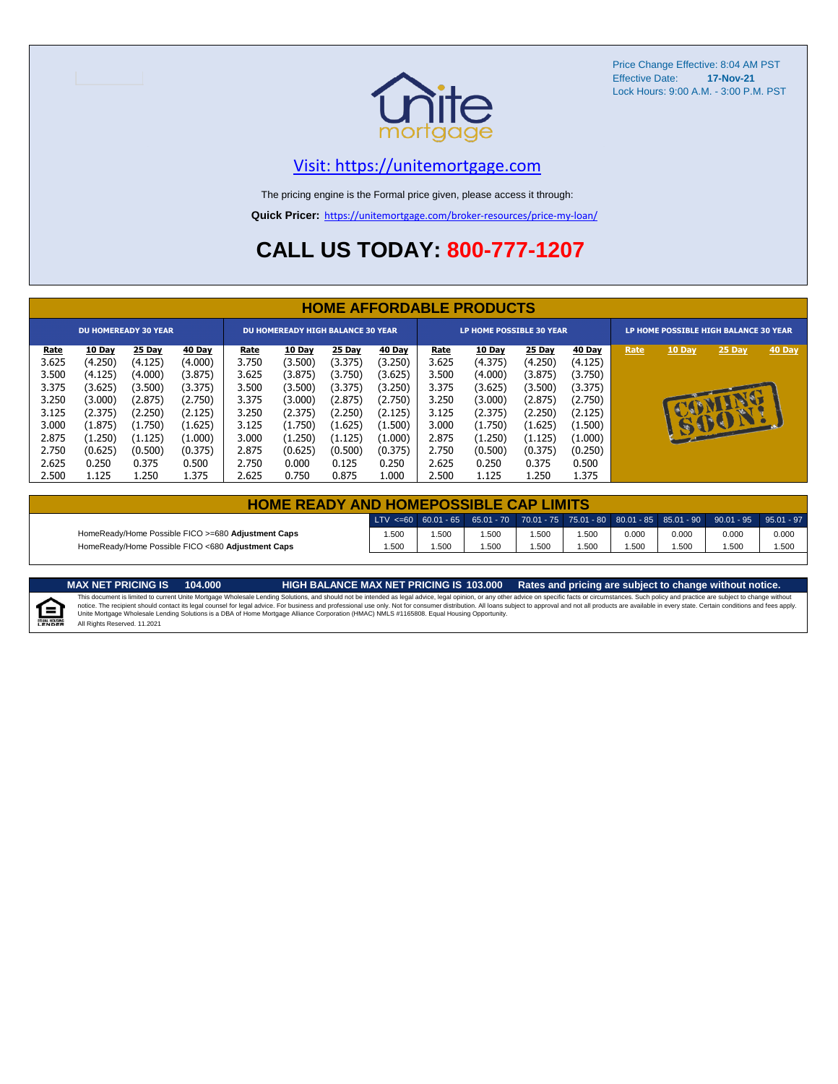

#### [V](https://unitemortgage.com/)isit: https://unitemortgage.com

The pricing engine is the Formal price given, please access it through:

**Quick Pricer:** [https://un](https://unitemortgage.com/broker-resources/price-my-loan/)itemortgage.com/broker-resources/price-my-loan/

### **CALL US TODAY: 800-777-1207**

|                             | <b>HOME AFFORDABLE PRODUCTS</b> |         |         |                                          |         |         |         |             |                                 |         |         |                                       |              |          |        |
|-----------------------------|---------------------------------|---------|---------|------------------------------------------|---------|---------|---------|-------------|---------------------------------|---------|---------|---------------------------------------|--------------|----------|--------|
| <b>DU HOMEREADY 30 YEAR</b> |                                 |         |         | <b>DU HOMEREADY HIGH BALANCE 30 YEAR</b> |         |         |         |             | <b>LP HOME POSSIBLE 30 YEAR</b> |         |         | LP HOME POSSIBLE HIGH BALANCE 30 YEAR |              |          |        |
| <u>Rate</u>                 | 10 Day                          | 25 Day  | 40 Day  | <b>Rate</b>                              | 10 Day  | 25 Day  | 40 Day  | <b>Rate</b> | 10 Day                          | 25 Day  | 40 Day  | Rate                                  | 10 Day       | 25 Day   | 40 Day |
| 3.625                       | (4.250)                         | (4.125) | (4.000) | 3.750                                    | (3.500) | (3.375) | (3.250) | 3.625       | (4.375)                         | (4.250) | (4.125) |                                       |              |          |        |
| 3.500                       | (4.125)                         | (4.000) | (3.875) | 3.625                                    | (3.875) | (3.750) | (3.625) | 3.500       | (4.000)                         | (3.875) | (3.750) |                                       |              |          |        |
| 3.375                       | (3.625)                         | (3.500) | (3.375) | 3.500                                    | (3.500) | (3.375) | (3.250) | 3.375       | (3.625)                         | (3.500) | (3.375) |                                       |              |          |        |
| 3.250                       | (3.000)                         | (2.875) | (2.750) | 3.375                                    | (3.000) | (2.875) | (2.750) | 3.250       | (3.000)                         | (2.875) | (2.750) |                                       |              | <b>D</b> |        |
| 3.125                       | (2.375)                         | (2.250) | (2.125) | 3.250                                    | (2.375) | (2.250) | (2.125) | 3.125       | (2.375)                         | (2.250) | (2.125) |                                       |              |          |        |
| 3.000                       | (1.875)                         | (1.750) | (1.625) | 3.125                                    | (1.750) | (1.625) | (1.500) | 3.000       | (1.750)                         | (1.625) | (1.500) |                                       | $\mathbf{r}$ | SSSSIL   |        |
| 2.875                       | (1.250)                         | (1.125) | (1.000) | 3.000                                    | (1.250) | (1.125) | (1.000) | 2.875       | (1.250)                         | (1.125) | (1.000) |                                       |              |          |        |
| 2.750                       | (0.625)                         | (0.500) | (0.375) | 2.875                                    | (0.625) | (0.500) | (0.375) | 2.750       | (0.500)                         | (0.375) | (0.250) |                                       |              |          |        |
| 2.625                       | 0.250                           | 0.375   | 0.500   | 2.750                                    | 0.000   | 0.125   | 0.250   | 2.625       | 0.250                           | 0.375   | 0.500   |                                       |              |          |        |
| 2.500                       | 1.125                           | 1.250   | 1.375   | 2.625                                    | 0.750   | 0.875   | 1.000   | 2.500       | 1.125                           | 1.250   | 1.375   |                                       |              |          |        |

| <b>HOME READY AND HOMEPOSSIBLE CAP LIMITS</b>                                                                               |      |      |      |      |       |       |       |       |       |  |  |  |
|-----------------------------------------------------------------------------------------------------------------------------|------|------|------|------|-------|-------|-------|-------|-------|--|--|--|
| LTV <=60 60.01 - 65 65.01 - 70 70.01 - 75 75.01 - 80 80.01 - 85 85.01 - 90 90.01 - 95 95.01 - 97                            |      |      |      |      |       |       |       |       |       |  |  |  |
| HomeReady/Home Possible FICO >=680 Adjustment Caps                                                                          | .500 | .500 | .500 | .500 | 1.500 | 0.000 | 0.000 | 0.000 | 0.000 |  |  |  |
| HomeReady/Home Possible FICO <680 Adjustment Caps<br>.500<br>.500<br>.500<br>.500<br>.500<br>.500<br>.500<br>1.500<br>1.500 |      |      |      |      |       |       |       |       |       |  |  |  |

MAX NET PRICING IS 103.000 Rates and pricing are subject to change without notice.<br>This document is limited to current Unite Mortgage Wholesale Lending Solutions, and should not be intended as legal advice, legal opinion,

All Rights Reserved. 11.2021

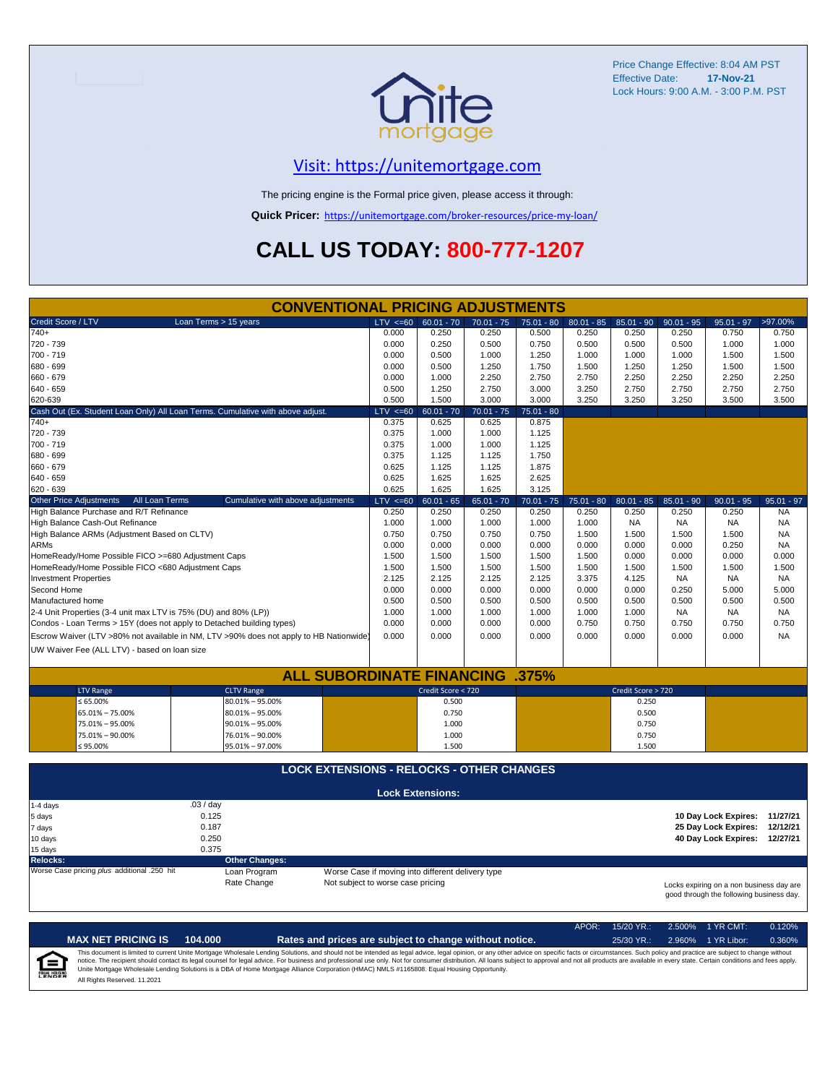

#### [V](https://unitemortgage.com/)isit: https://unitemortgage.com

The pricing engine is the Formal price given, please access it through:

**Quick Pricer:** [https://un](https://unitemortgage.com/broker-resources/price-my-loan/)itemortgage.com/broker-resources/price-my-loan/

## **CALL US TODAY: 800-777-1207**

|                                                                       | <b>CONVENTIONAL PRICING ADJUSTMENTS</b>                                                |                                   |                                                   |              |              |              |                    |              |                                                                                      |              |
|-----------------------------------------------------------------------|----------------------------------------------------------------------------------------|-----------------------------------|---------------------------------------------------|--------------|--------------|--------------|--------------------|--------------|--------------------------------------------------------------------------------------|--------------|
| Credit Score / LTV                                                    | Loan Terms > 15 years                                                                  | LTV < 60                          | $60.01 - 70$                                      | $70.01 - 75$ | $75.01 - 80$ | $80.01 - 85$ | $85.01 - 90$       | $90.01 - 95$ | $95.01 - 97$                                                                         | >97.00%      |
| $740+$                                                                |                                                                                        | 0.000                             | 0.250                                             | 0.250        | 0.500        | 0.250        | 0.250              | 0.250        | 0.750                                                                                | 0.750        |
| 720 - 739                                                             |                                                                                        | 0.000                             | 0.250                                             | 0.500        | 0.750        | 0.500        | 0.500              | 0.500        | 1.000                                                                                | 1.000        |
| 700 - 719                                                             |                                                                                        | 0.000                             | 0.500                                             | 1.000        | 1.250        | 1.000        | 1.000              | 1.000        | 1.500                                                                                | 1.500        |
| 680 - 699                                                             |                                                                                        | 0.000                             | 0.500                                             | 1.250        | 1.750        | 1.500        | 1.250              | 1.250        | 1.500                                                                                | 1.500        |
| 660 - 679                                                             |                                                                                        | 0.000                             | 1.000                                             | 2.250        | 2.750        | 2.750        | 2.250              | 2.250        | 2.250                                                                                | 2.250        |
| $640 - 659$                                                           |                                                                                        | 0.500                             | 1.250                                             | 2.750        | 3.000        | 3.250        | 2.750              | 2.750        | 2.750                                                                                | 2.750        |
| 620-639                                                               |                                                                                        | 0.500                             | 1.500                                             | 3.000        | 3.000        | 3.250        | 3.250              | 3.250        | 3.500                                                                                | 3.500        |
|                                                                       | Cash Out (Ex. Student Loan Only) All Loan Terms. Cumulative with above adjust.         | $LTV < =60$                       | $60.01 - 70$                                      | $70.01 - 75$ | $75.01 - 80$ |              |                    |              |                                                                                      |              |
| $740+$                                                                |                                                                                        | 0.375                             | 0.625                                             | 0.625        | 0.875        |              |                    |              |                                                                                      |              |
| 720 - 739                                                             |                                                                                        | 0.375                             | 1.000                                             | 1.000        | 1.125        |              |                    |              |                                                                                      |              |
| 700 - 719                                                             |                                                                                        | 0.375                             | 1.000                                             | 1.000        | 1.125        |              |                    |              |                                                                                      |              |
| 680 - 699                                                             |                                                                                        | 0.375                             | 1.125                                             | 1.125        | 1.750        |              |                    |              |                                                                                      |              |
| 660 - 679                                                             |                                                                                        | 0.625                             | 1.125                                             | 1.125        | 1.875        |              |                    |              |                                                                                      |              |
| 640 - 659                                                             |                                                                                        | 0.625                             | 1.625                                             | 1.625        | 2.625        |              |                    |              |                                                                                      |              |
| $620 - 639$                                                           |                                                                                        | 0.625                             | 1.625                                             | 1.625        | 3.125        |              |                    |              |                                                                                      |              |
| <b>Other Price Adjustments</b><br>All Loan Terms                      | Cumulative with above adjustments                                                      | $LTV < =60$                       | $60.01 - 65$                                      | $65.01 - 70$ | $70.01 - 75$ | $75.01 - 80$ | $80.01 - 85$       | $85.01 - 90$ | $90.01 - 95$                                                                         | $95.01 - 97$ |
| High Balance Purchase and R/T Refinance                               |                                                                                        | 0.250                             | 0.250                                             | 0.250        | 0.250        | 0.250        | 0.250              | 0.250        | 0.250                                                                                | <b>NA</b>    |
| High Balance Cash-Out Refinance                                       |                                                                                        | 1.000                             | 1.000                                             | 1.000        | 1.000        | 1.000        | <b>NA</b>          | <b>NA</b>    | <b>NA</b>                                                                            | <b>NA</b>    |
| High Balance ARMs (Adjustment Based on CLTV)                          |                                                                                        | 0.750                             | 0.750                                             | 0.750        | 0.750        | 1.500        | 1.500              | 1.500        | 1.500                                                                                | <b>NA</b>    |
| <b>ARMs</b>                                                           |                                                                                        | 0.000                             | 0.000                                             | 0.000        | 0.000        | 0.000        | 0.000              | 0.000        | 0.250                                                                                | <b>NA</b>    |
| HomeReady/Home Possible FICO >=680 Adjustment Caps                    |                                                                                        | 1.500                             | 1.500                                             | 1.500        | 1.500        | 1.500        | 0.000              | 0.000        | 0.000                                                                                | 0.000        |
| HomeReady/Home Possible FICO <680 Adjustment Caps                     |                                                                                        | 1.500                             | 1.500                                             | 1.500        | 1.500        | 1.500        | 1.500              | 1.500        | 1.500                                                                                | 1.500        |
| <b>Investment Properties</b>                                          |                                                                                        | 2.125                             | 2.125                                             | 2.125        | 2.125        | 3.375        | 4.125              | <b>NA</b>    | <b>NA</b>                                                                            | <b>NA</b>    |
| Second Home                                                           |                                                                                        | 0.000                             | 0.000                                             | 0.000        | 0.000        | 0.000        | 0.000              | 0.250        | 5.000                                                                                | 5.000        |
| Manufactured home                                                     |                                                                                        | 0.500                             | 0.500                                             | 0.500        | 0.500        | 0.500        | 0.500              | 0.500        | 0.500                                                                                | 0.500        |
| 2-4 Unit Properties (3-4 unit max LTV is 75% (DU) and 80% (LP))       |                                                                                        | 1.000                             | 1.000                                             | 1.000        | 1.000        | 1.000        | 1.000              | <b>NA</b>    | <b>NA</b>                                                                            | <b>NA</b>    |
| Condos - Loan Terms > 15Y (does not apply to Detached building types) |                                                                                        | 0.000                             | 0.000                                             | 0.000        | 0.000        | 0.750        | 0.750              | 0.750        | 0.750                                                                                | 0.750        |
|                                                                       | Escrow Waiver (LTV >80% not available in NM, LTV >90% does not apply to HB Nationwide) | 0.000                             | 0.000                                             | 0.000        | 0.000        | 0.000        | 0.000              | 0.000        | 0.000                                                                                | <b>NA</b>    |
| UW Waiver Fee (ALL LTV) - based on loan size                          |                                                                                        |                                   |                                                   |              |              |              |                    |              |                                                                                      |              |
|                                                                       |                                                                                        |                                   |                                                   |              |              |              |                    |              |                                                                                      |              |
|                                                                       | <b>ALL SUBORDINATE FINANCING</b>                                                       |                                   |                                                   |              | .375%        |              |                    |              |                                                                                      |              |
| <b>LTV Range</b>                                                      | <b>CLTV Range</b>                                                                      |                                   | Credit Score < 720                                |              |              |              | Credit Score > 720 |              |                                                                                      |              |
| $\leq 65.00\%$                                                        | 80.01% - 95.00%                                                                        |                                   | 0.500                                             |              |              |              | 0.250              |              |                                                                                      |              |
| 65.01% - 75.00%                                                       | $80.01\% - 95.00\%$                                                                    |                                   | 0.750                                             |              |              |              | 0.500              |              |                                                                                      |              |
| 75.01% - 95.00%                                                       | $90.01\% - 95.00\%$                                                                    |                                   | 1.000                                             |              |              |              | 0.750              |              |                                                                                      |              |
| 75.01% - 90.00%                                                       | 76.01% - 90.00%                                                                        |                                   | 1.000                                             |              |              |              | 0.750              |              |                                                                                      |              |
| $≤ 95.00\%$                                                           | 95.01% - 97.00%                                                                        |                                   | 1.500                                             |              |              |              | 1.500              |              |                                                                                      |              |
|                                                                       |                                                                                        |                                   |                                                   |              |              |              |                    |              |                                                                                      |              |
|                                                                       | <b>LOCK EXTENSIONS - RELOCKS - OTHER CHANGES</b>                                       |                                   |                                                   |              |              |              |                    |              |                                                                                      |              |
|                                                                       |                                                                                        |                                   | <b>Lock Extensions:</b>                           |              |              |              |                    |              |                                                                                      |              |
| 1-4 days                                                              | .03 / day                                                                              |                                   |                                                   |              |              |              |                    |              |                                                                                      |              |
| 5 days                                                                | 0.125                                                                                  |                                   |                                                   |              |              |              |                    |              | 10 Day Lock Expires: 11/27/21                                                        |              |
| 7 days                                                                | 0.187                                                                                  |                                   |                                                   |              |              |              |                    |              | 25 Day Lock Expires: 12/12/21                                                        |              |
| 10 days                                                               | 0.250                                                                                  |                                   |                                                   |              |              |              |                    |              | 40 Day Lock Expires: 12/27/21                                                        |              |
| 15 days                                                               | 0.375                                                                                  |                                   |                                                   |              |              |              |                    |              |                                                                                      |              |
| <b>Relocks:</b>                                                       | <b>Other Changes:</b>                                                                  |                                   |                                                   |              |              |              |                    |              |                                                                                      |              |
| Worse Case pricing plus additional .250 hit                           | Loan Program                                                                           |                                   | Worse Case if moving into different delivery type |              |              |              |                    |              |                                                                                      |              |
|                                                                       | Rate Change                                                                            | Not subject to worse case pricing |                                                   |              |              |              |                    |              | Locks expiring on a non business day are<br>good through the following business day. |              |

|                            |                              |         |                                                                                                                                                                                                                                                                                                                                                                                                                                                                                                                                                                                                                | APOR: | $15/20$ YR.: | 2.500% 1 YR CMT:   | 0.120% |
|----------------------------|------------------------------|---------|----------------------------------------------------------------------------------------------------------------------------------------------------------------------------------------------------------------------------------------------------------------------------------------------------------------------------------------------------------------------------------------------------------------------------------------------------------------------------------------------------------------------------------------------------------------------------------------------------------------|-------|--------------|--------------------|--------|
|                            | <b>MAX NET PRICING IS</b>    | 104.000 | Rates and prices are subject to change without notice.                                                                                                                                                                                                                                                                                                                                                                                                                                                                                                                                                         |       | $25/30$ YR.: | 2.960% 1 YR Libor: | 0.360% |
| ſ≘<br><b>EQUAL HOUSING</b> | All Rights Reserved, 11,2021 |         | This document is limited to current Unite Mortgage Wholesale Lending Solutions, and should not be intended as legal advice, legal opinion, or any other advice on specific facts or circumstances. Such policy and practice ar<br>notice. The recipient should contact its legal counsel for legal advice. For business and professional use only. Not for consumer distribution. All loans subject to approval and not all products are available in every stat<br>Unite Mortgage Wholesale Lending Solutions is a DBA of Home Mortgage Alliance Corporation (HMAC) NMLS #1165808. Equal Housing Opportunity. |       |              |                    |        |